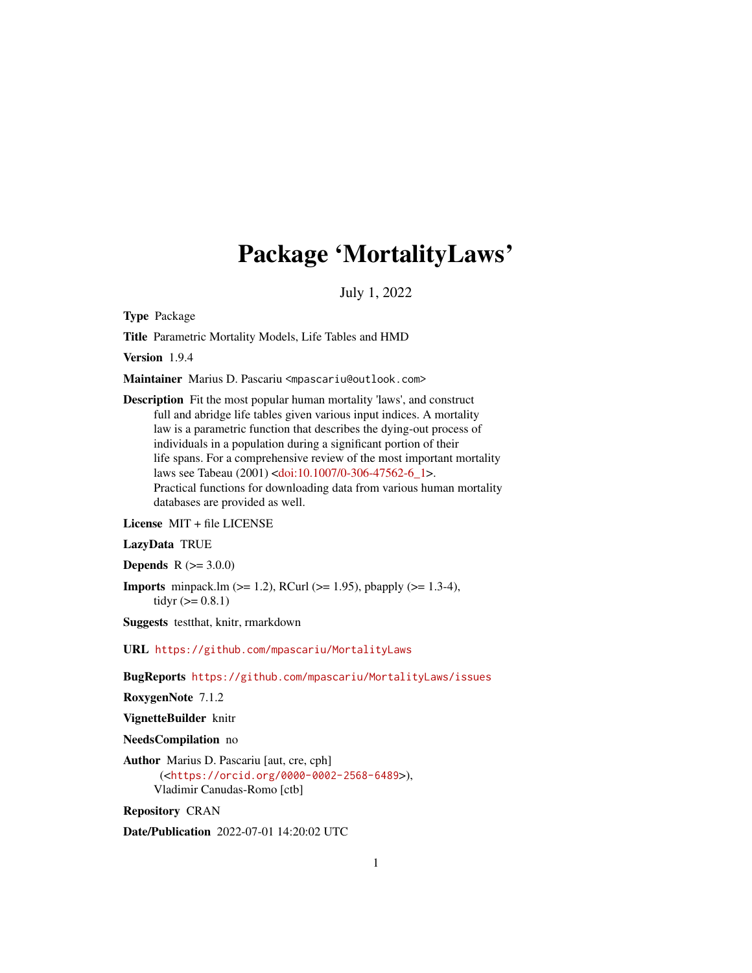# Package 'MortalityLaws'

July 1, 2022

<span id="page-0-0"></span>Type Package

Title Parametric Mortality Models, Life Tables and HMD

Version 1.9.4

Maintainer Marius D. Pascariu <mpascariu@outlook.com>

Description Fit the most popular human mortality 'laws', and construct full and abridge life tables given various input indices. A mortality law is a parametric function that describes the dying-out process of individuals in a population during a significant portion of their life spans. For a comprehensive review of the most important mortality laws see Tabeau (2001) [<doi:10.1007/0-306-47562-6\\_1>](https://doi.org/10.1007/0-306-47562-6_1). Practical functions for downloading data from various human mortality databases are provided as well.

License MIT + file LICENSE

LazyData TRUE

**Depends**  $R (= 3.0.0)$ 

**Imports** minpack.lm  $(>= 1.2)$ , RCurl  $(>= 1.95)$ , pbapply  $(>= 1.3-4)$ , tidyr  $(>= 0.8.1)$ 

Suggests testthat, knitr, rmarkdown

URL <https://github.com/mpascariu/MortalityLaws>

BugReports <https://github.com/mpascariu/MortalityLaws/issues>

RoxygenNote 7.1.2

VignetteBuilder knitr

NeedsCompilation no

Author Marius D. Pascariu [aut, cre, cph] (<<https://orcid.org/0000-0002-2568-6489>>), Vladimir Canudas-Romo [ctb]

Repository CRAN

Date/Publication 2022-07-01 14:20:02 UTC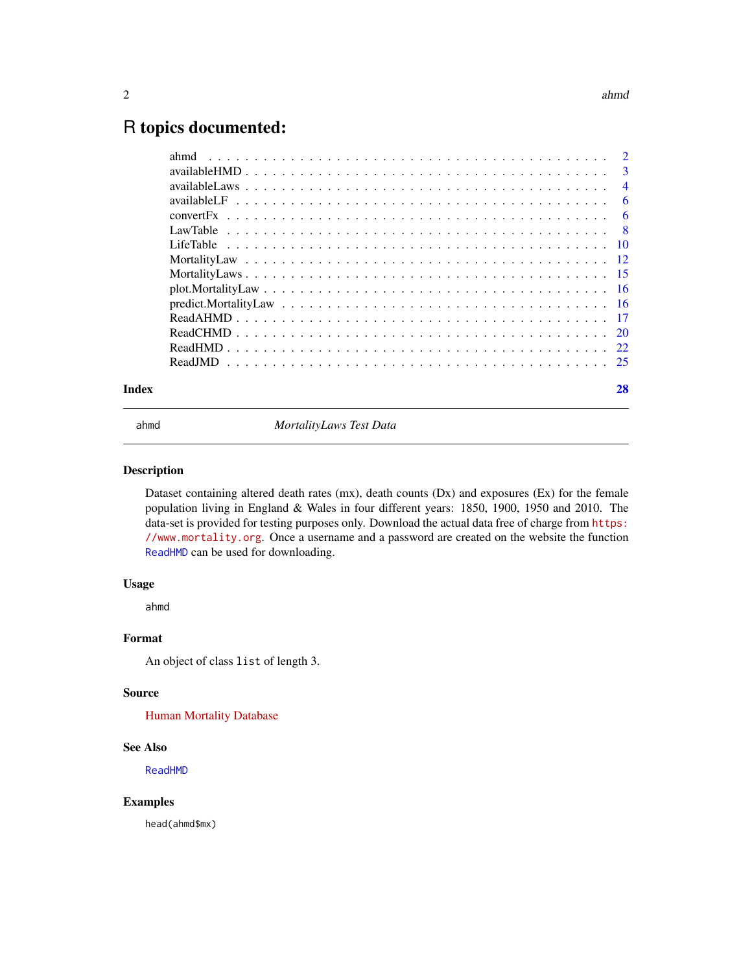#### <span id="page-1-0"></span> $2 \times 2$

# R topics documented:

| Index |      | 28 |
|-------|------|----|
|       |      |    |
|       |      |    |
|       |      |    |
|       |      |    |
|       |      |    |
|       |      |    |
|       |      |    |
|       |      |    |
|       |      |    |
|       |      |    |
|       |      |    |
|       |      |    |
|       |      |    |
|       |      |    |
|       | ahmd |    |

ahmd *MortalityLaws Test Data*

#### Description

Dataset containing altered death rates (mx), death counts (Dx) and exposures (Ex) for the female population living in England & Wales in four different years: 1850, 1900, 1950 and 2010. The data-set is provided for testing purposes only. Download the actual data free of charge from [https:](https://www.mortality.org) [//www.mortality.org](https://www.mortality.org). Once a username and a password are created on the website the function [ReadHMD](#page-21-1) can be used for downloading.

#### Usage

ahmd

#### Format

An object of class list of length 3.

#### Source

[Human Mortality Database](https://www.mortality.org)

#### See Also

[ReadHMD](#page-21-1)

#### Examples

head(ahmd\$mx)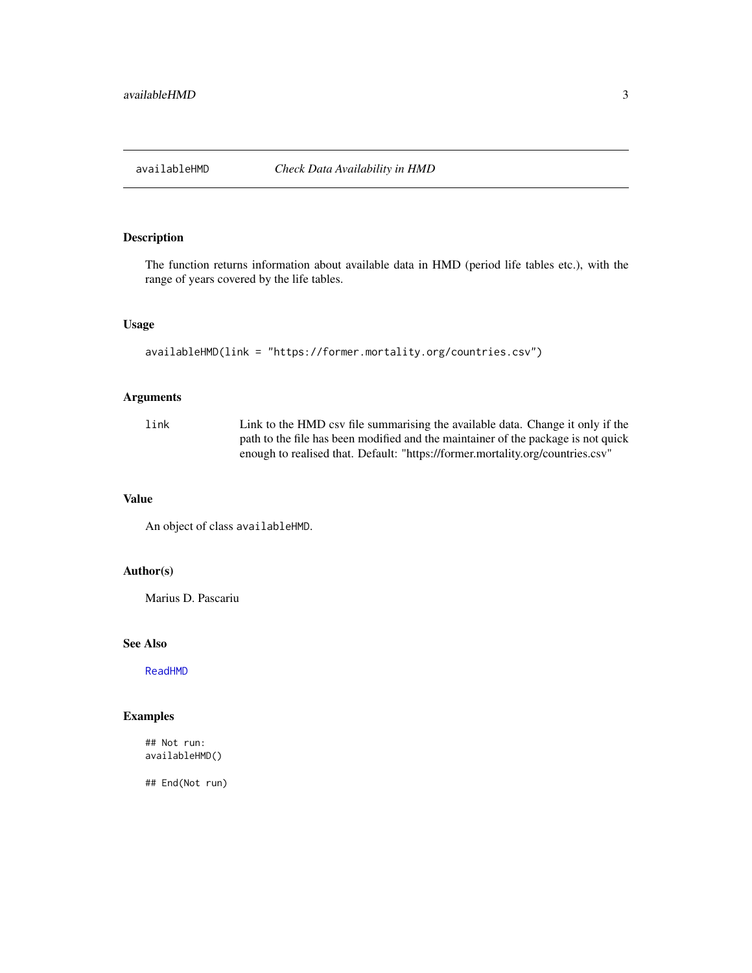<span id="page-2-0"></span>

# Description

The function returns information about available data in HMD (period life tables etc.), with the range of years covered by the life tables.

# Usage

```
availableHMD(link = "https://former.mortality.org/countries.csv")
```
# Arguments

link Link to the HMD csv file summarising the available data. Change it only if the path to the file has been modified and the maintainer of the package is not quick enough to realised that. Default: "https://former.mortality.org/countries.csv"

#### Value

An object of class availableHMD.

#### Author(s)

Marius D. Pascariu

# See Also

[ReadHMD](#page-21-1)

# Examples

## Not run: availableHMD()

## End(Not run)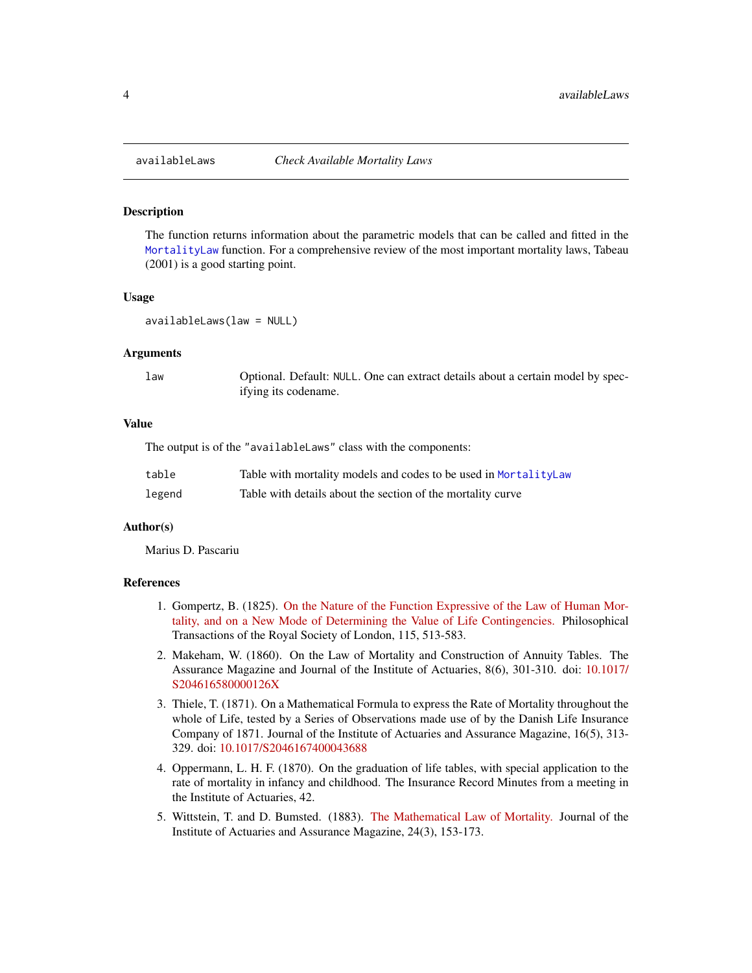#### **Description**

The function returns information about the parametric models that can be called and fitted in the [MortalityLaw](#page-11-1) function. For a comprehensive review of the most important mortality laws, Tabeau (2001) is a good starting point.

#### Usage

availableLaws(law = NULL)

#### Arguments

law Optional. Default: NULL. One can extract details about a certain model by specifying its codename.

#### Value

The output is of the "availableLaws" class with the components:

| table  | Table with mortality models and codes to be used in MortalityLaw |
|--------|------------------------------------------------------------------|
| legend | Table with details about the section of the mortality curve      |

# Author(s)

Marius D. Pascariu

#### References

- 1. Gompertz, B. (1825). [On the Nature of the Function Expressive of the Law of Human Mor](https://www.jstor.org/stable/107756)[tality, and on a New Mode of Determining the Value of Life Contingencies.](https://www.jstor.org/stable/107756) Philosophical Transactions of the Royal Society of London, 115, 513-583.
- 2. Makeham, W. (1860). On the Law of Mortality and Construction of Annuity Tables. The Assurance Magazine and Journal of the Institute of Actuaries, 8(6), 301-310. doi: [10.1017/](https://doi.org/10.1017/S204616580000126X) [S204616580000126X](https://doi.org/10.1017/S204616580000126X)
- 3. Thiele, T. (1871). On a Mathematical Formula to express the Rate of Mortality throughout the whole of Life, tested by a Series of Observations made use of by the Danish Life Insurance Company of 1871. Journal of the Institute of Actuaries and Assurance Magazine, 16(5), 313- 329. doi: [10.1017/S2046167400043688](https://doi.org/10.1017/S2046167400043688)
- 4. Oppermann, L. H. F. (1870). On the graduation of life tables, with special application to the rate of mortality in infancy and childhood. The Insurance Record Minutes from a meeting in the Institute of Actuaries, 42.
- 5. Wittstein, T. and D. Bumsted. (1883). [The Mathematical Law of Mortality.](https://www.cambridge.org/core/journals/journal-of-the-institute-of-actuaries/article/the-mathematical-law-of-mortality/57A7403B578C84769A463EA2BC2F7ECD) Journal of the Institute of Actuaries and Assurance Magazine, 24(3), 153-173.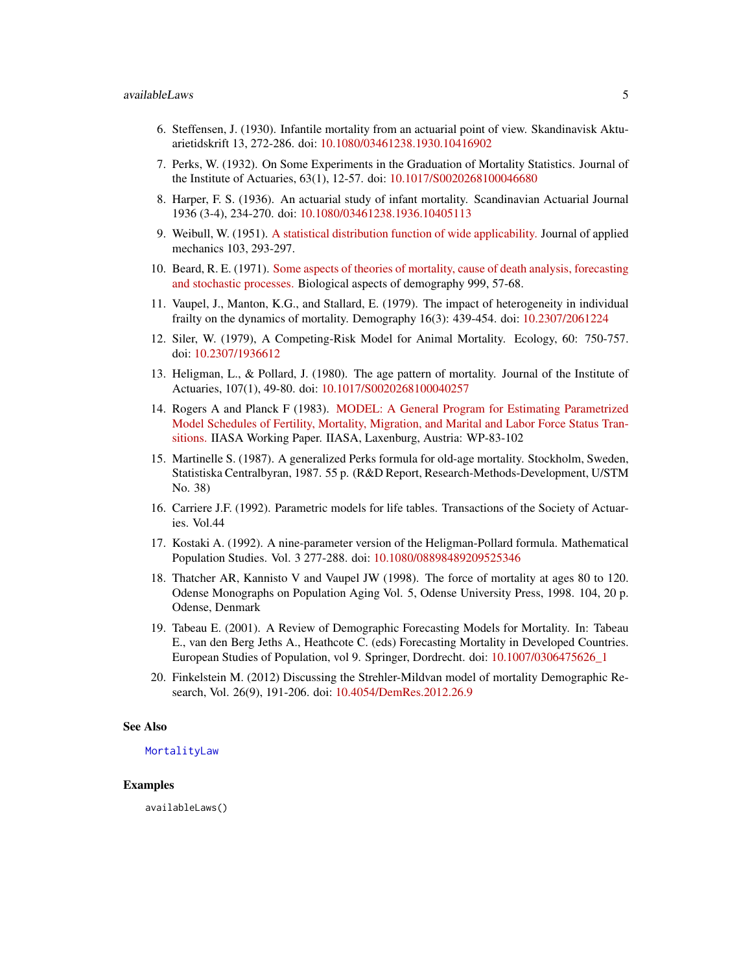- 6. Steffensen, J. (1930). Infantile mortality from an actuarial point of view. Skandinavisk Aktuarietidskrift 13, 272-286. doi: [10.1080/03461238.1930.10416902](https://doi.org/10.1080/03461238.1930.10416902)
- 7. Perks, W. (1932). On Some Experiments in the Graduation of Mortality Statistics. Journal of the Institute of Actuaries, 63(1), 12-57. doi: [10.1017/S0020268100046680](https://doi.org/10.1017/S0020268100046680)
- 8. Harper, F. S. (1936). An actuarial study of infant mortality. Scandinavian Actuarial Journal 1936 (3-4), 234-270. doi: [10.1080/03461238.1936.10405113](https://doi.org/10.1080/03461238.1936.10405113)
- 9. Weibull, W. (1951). [A statistical distribution function of wide applicability.](http://web.cecs.pdx.edu/~cgshirl/Documents/Weibull-ASME-Paper-1951.pdf) Journal of applied mechanics 103, 293-297.
- 10. Beard, R. E. (1971). [Some aspects of theories of mortality, cause of death analysis, forecasting](http://longevity-science.org/Beard-1971.pdf) [and stochastic processes.](http://longevity-science.org/Beard-1971.pdf) Biological aspects of demography 999, 57-68.
- 11. Vaupel, J., Manton, K.G., and Stallard, E. (1979). The impact of heterogeneity in individual frailty on the dynamics of mortality. Demography 16(3): 439-454. doi: [10.2307/2061224](https://doi.org/10.2307/2061224)
- 12. Siler, W. (1979), A Competing-Risk Model for Animal Mortality. Ecology, 60: 750-757. doi: [10.2307/1936612](https://doi.org/10.2307/1936612)
- 13. Heligman, L., & Pollard, J. (1980). The age pattern of mortality. Journal of the Institute of Actuaries, 107(1), 49-80. doi: [10.1017/S0020268100040257](https://doi.org/10.1017/S0020268100040257)
- 14. Rogers A and Planck F (1983). [MODEL: A General Program for Estimating Parametrized](https://pure.iiasa.ac.at/id/eprint/2210/1/WP-83-102.pdf) [Model Schedules of Fertility, Mortality, Migration, and Marital and Labor Force Status Tran](https://pure.iiasa.ac.at/id/eprint/2210/1/WP-83-102.pdf)[sitions.](https://pure.iiasa.ac.at/id/eprint/2210/1/WP-83-102.pdf) IIASA Working Paper. IIASA, Laxenburg, Austria: WP-83-102
- 15. Martinelle S. (1987). A generalized Perks formula for old-age mortality. Stockholm, Sweden, Statistiska Centralbyran, 1987. 55 p. (R&D Report, Research-Methods-Development, U/STM No. 38)
- 16. Carriere J.F. (1992). Parametric models for life tables. Transactions of the Society of Actuaries. Vol.44
- 17. Kostaki A. (1992). A nine-parameter version of the Heligman-Pollard formula. Mathematical Population Studies. Vol. 3 277-288. doi: [10.1080/08898489209525346](https://doi.org/10.1080/08898489209525346)
- 18. Thatcher AR, Kannisto V and Vaupel JW (1998). The force of mortality at ages 80 to 120. Odense Monographs on Population Aging Vol. 5, Odense University Press, 1998. 104, 20 p. Odense, Denmark
- 19. Tabeau E. (2001). A Review of Demographic Forecasting Models for Mortality. In: Tabeau E., van den Berg Jeths A., Heathcote C. (eds) Forecasting Mortality in Developed Countries. European Studies of Population, vol 9. Springer, Dordrecht. doi: [10.1007/0306475626\\_1](https://doi.org/10.1007/0-306-47562-6_1)
- 20. Finkelstein M. (2012) Discussing the Strehler-Mildvan model of mortality Demographic Research, Vol. 26(9), 191-206. doi: [10.4054/DemRes.2012.26.9](https://doi.org/10.4054/DemRes.2012.26.9)

#### See Also

#### [MortalityLaw](#page-11-1)

#### Examples

availableLaws()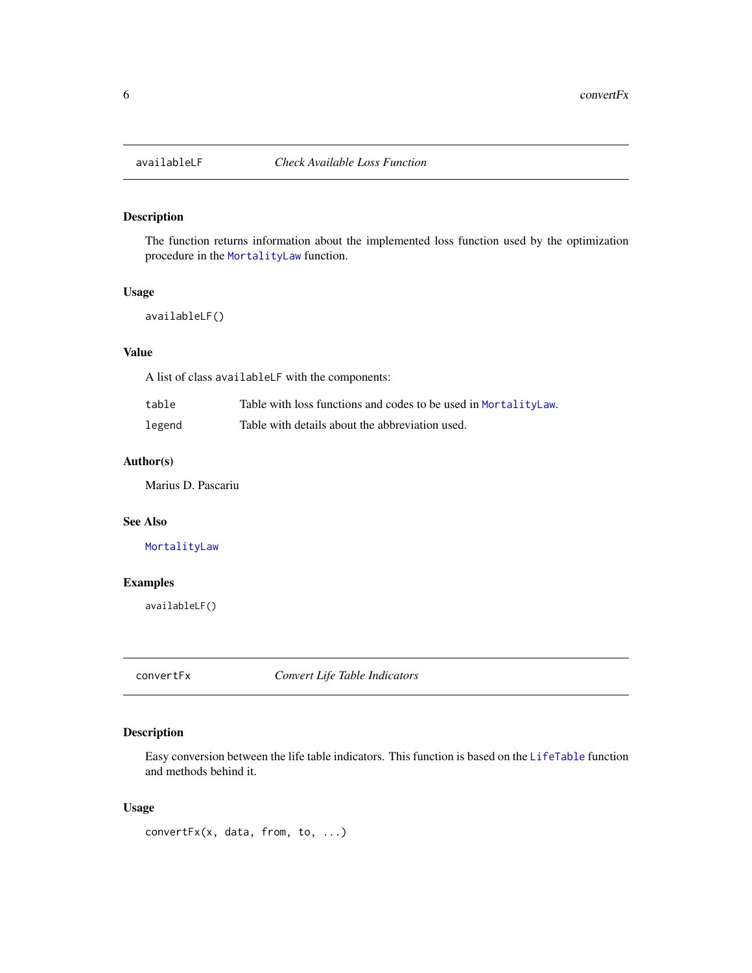<span id="page-5-2"></span><span id="page-5-0"></span>

# Description

The function returns information about the implemented loss function used by the optimization procedure in the [MortalityLaw](#page-11-1) function.

## Usage

availableLF()

# Value

A list of class availableLF with the components:

| table  | Table with loss functions and codes to be used in MortalityLaw. |
|--------|-----------------------------------------------------------------|
| legend | Table with details about the abbreviation used.                 |

# Author(s)

Marius D. Pascariu

# See Also

[MortalityLaw](#page-11-1)

# Examples

availableLF()

<span id="page-5-1"></span>convertFx *Convert Life Table Indicators*

## Description

Easy conversion between the life table indicators. This function is based on the [LifeTable](#page-9-1) function and methods behind it.

# Usage

convertFx(x, data, from, to, ...)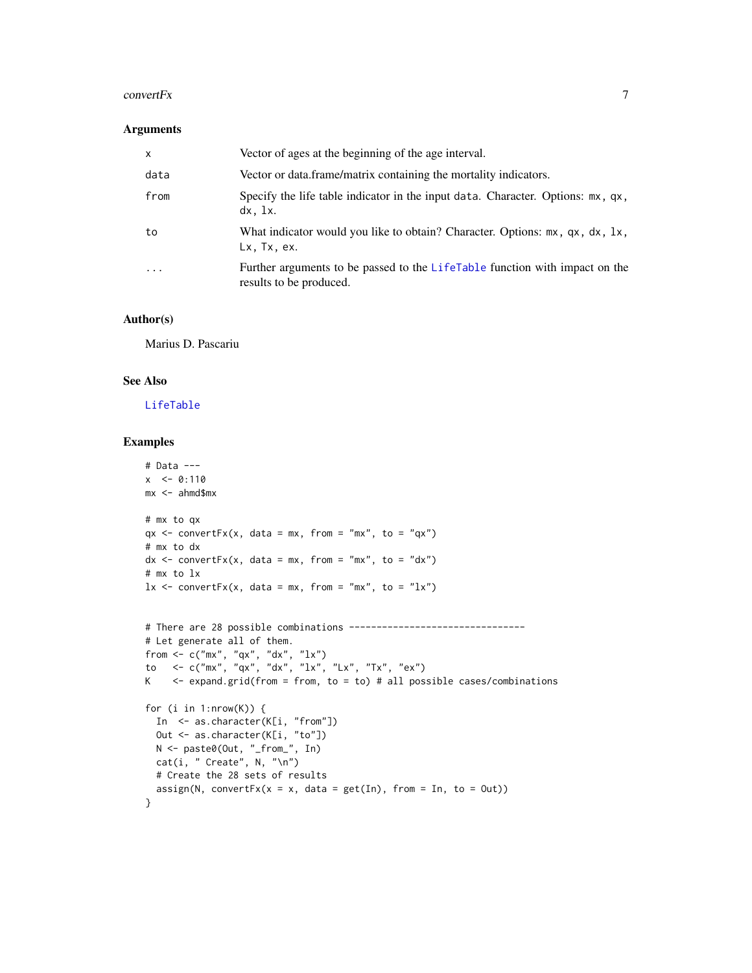#### convert $Fx$  7

#### Arguments

| $\mathsf{x}$            | Vector of ages at the beginning of the age interval.                                                   |
|-------------------------|--------------------------------------------------------------------------------------------------------|
| data                    | Vector or data frame/matrix containing the mortality indicators.                                       |
| from                    | Specify the life table indicator in the input data. Character. Options: mx, qx,<br>$dx$ , $1x$ .       |
| to                      | What indicator would you like to obtain? Character. Options: mx, qx, dx, 1x,<br>Lx. Tx. ex.            |
| $\cdot$ $\cdot$ $\cdot$ | Further arguments to be passed to the LifeTable function with impact on the<br>results to be produced. |

#### Author(s)

Marius D. Pascariu

# See Also

[LifeTable](#page-9-1)

```
# Data ---
x < -0:110mx < - \text{ahmd$s}mx# mx to qx
qx \leq convertFx(x, data = mx, from = "mx", to = "qx")# mx to dx
dx <- convertFx(x, data = mx, from = "mx", to = "dx")
# mx to lx
lx \leftarrow \text{convertFx}(x, data = mx, from = "mx", to = "lx")# There are 28 possible combinations --------------------------------
# Let generate all of them.
from <- c("mx", "qx", "dx", "lx")
to <- c("mx", "qx", "dx", "lx", "Lx", "Tx", "ex")
K \leq expand.grid(from = from, to = to) # all possible cases/combinations
for (i in 1:nrow(K)) {
  In <- as.character(K[i, "from"])
  Out <- as.character(K[i, "to"])
 N <- paste0(Out, "_from_", In)
  cat(i, "Create", N, "\\n")# Create the 28 sets of results
  assign(N, convertFx(x = x, data = get(In), from = In, to = Out))}
```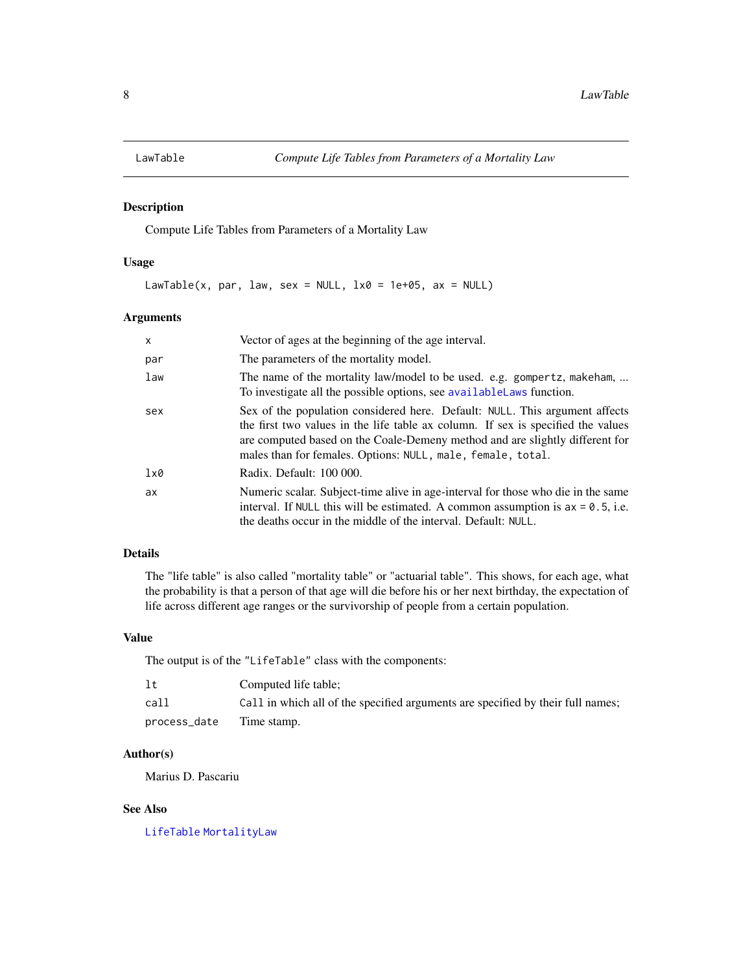<span id="page-7-1"></span><span id="page-7-0"></span>

#### Description

Compute Life Tables from Parameters of a Mortality Law

# Usage

LawTable(x, par, law, sex = NULL,  $1 \times 0 = 1e+05$ , ax = NULL)

# Arguments

| X          | Vector of ages at the beginning of the age interval.                                                                                                                                                                                                                                                           |
|------------|----------------------------------------------------------------------------------------------------------------------------------------------------------------------------------------------------------------------------------------------------------------------------------------------------------------|
| par        | The parameters of the mortality model.                                                                                                                                                                                                                                                                         |
| law        | The name of the mortality law/model to be used. e.g. gompertz, makeham,<br>To investigate all the possible options, see available Laws function.                                                                                                                                                               |
| sex        | Sex of the population considered here. Default: NULL. This argument affects<br>the first two values in the life table ax column. If sex is specified the values<br>are computed based on the Coale-Demeny method and are slightly different for<br>males than for females. Options: NULL, male, female, total. |
| $1\times0$ | Radix. Default: 100 000.                                                                                                                                                                                                                                                                                       |
| ax         | Numeric scalar. Subject-time alive in age-interval for those who die in the same<br>interval. If NULL this will be estimated. A common assumption is $ax = 0.5$ , i.e.<br>the deaths occur in the middle of the interval. Default: NULL.                                                                       |

# Details

The "life table" is also called "mortality table" or "actuarial table". This shows, for each age, what the probability is that a person of that age will die before his or her next birthday, the expectation of life across different age ranges or the survivorship of people from a certain population.

# Value

The output is of the "LifeTable" class with the components:

| lt           | Computed life table;                                                            |
|--------------|---------------------------------------------------------------------------------|
| call         | Call in which all of the specified arguments are specified by their full names; |
| process_date | Time stamp.                                                                     |

# Author(s)

Marius D. Pascariu

# See Also

[LifeTable](#page-9-1) [MortalityLaw](#page-11-1)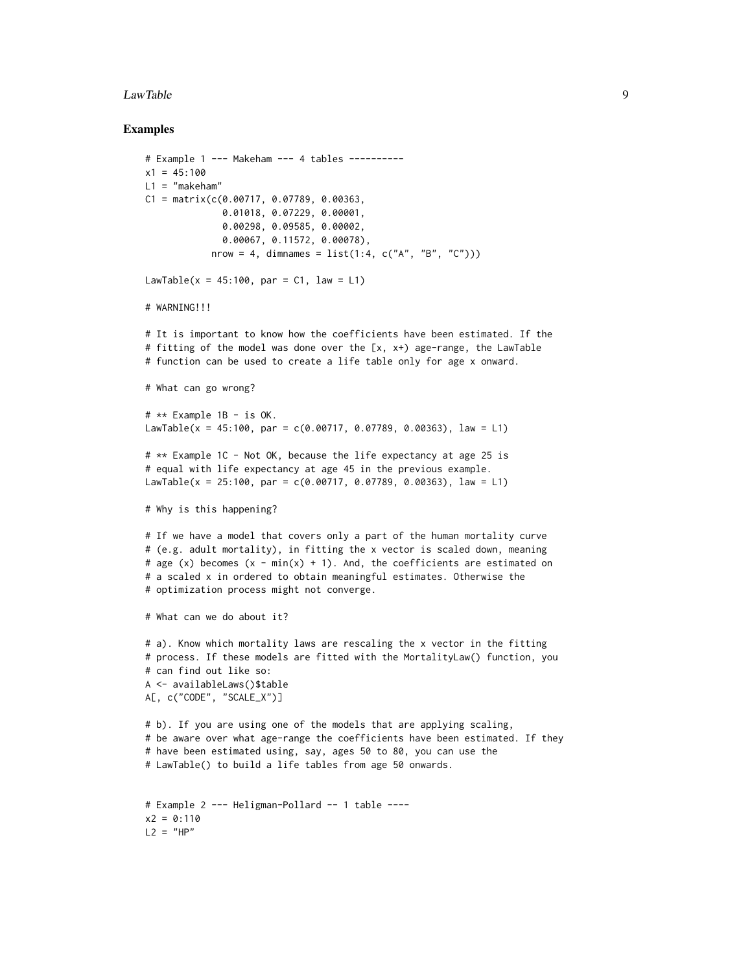#### LawTable 9

```
# Example 1 --- Makeham --- 4 tables ----------
x1 = 45:100L1 = "makeham"C1 = matrix(c(0.00717, 0.07789, 0.00363,0.01018, 0.07229, 0.00001,
              0.00298, 0.09585, 0.00002,
              0.00067, 0.11572, 0.00078),
            nrow = 4, dimnames = list(1:4, c("A", "B", "C"))LawTable(x = 45:100, par = C1, law = L1)
# WARNING!!!
# It is important to know how the coefficients have been estimated. If the
# fitting of the model was done over the [x, x+) age-range, the LawTable
# function can be used to create a life table only for age x onward.
# What can go wrong?
# ** Example 1B - is OK.
LawTable(x = 45:100, par = c(0.00717, 0.07789, 0.00363), law = L1)
# ** Example 1C - Not OK, because the life expectancy at age 25 is
# equal with life expectancy at age 45 in the previous example.
LawTable(x = 25:100, par = c(0.00717, 0.07789, 0.00363), law = L1)
# Why is this happening?
# If we have a model that covers only a part of the human mortality curve
# (e.g. adult mortality), in fitting the x vector is scaled down, meaning
# age (x) becomes (x - min(x) + 1). And, the coefficients are estimated on
# a scaled x in ordered to obtain meaningful estimates. Otherwise the
# optimization process might not converge.
# What can we do about it?
# a). Know which mortality laws are rescaling the x vector in the fitting
# process. If these models are fitted with the MortalityLaw() function, you
# can find out like so:
A <- availableLaws()$table
A[, c("CODE", "SCALE_X")]
# b). If you are using one of the models that are applying scaling,
# be aware over what age-range the coefficients have been estimated. If they
# have been estimated using, say, ages 50 to 80, you can use the
# LawTable() to build a life tables from age 50 onwards.
# Example 2 --- Heligman-Pollard -- 1 table ----
x2 = 0:110L2 = "HP"
```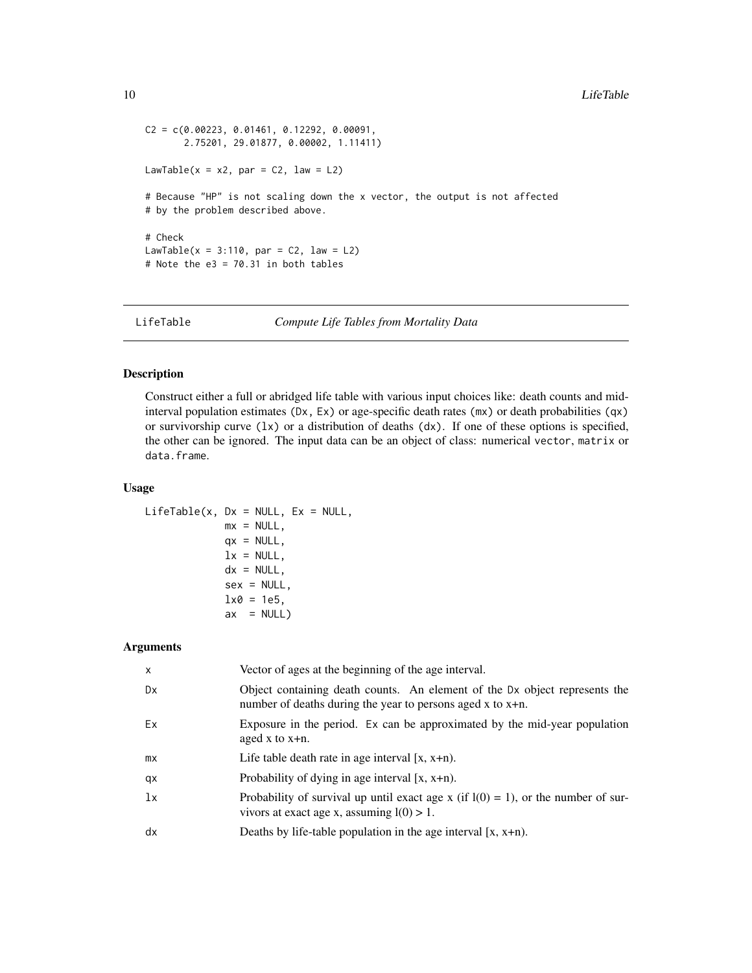```
C2 = C(0.00223, 0.01461, 0.12292, 0.00091,2.75201, 29.01877, 0.00002, 1.11411)
LawTable(x = x2, par = C2, law = L2)
# Because "HP" is not scaling down the x vector, the output is not affected
# by the problem described above.
# Check
LawTable(x = 3:110, par = C2, law = L2)
# Note the e3 = 70.31 in both tables
```
LifeTable *Compute Life Tables from Mortality Data*

# Description

Construct either a full or abridged life table with various input choices like: death counts and midinterval population estimates (Dx, Ex) or age-specific death rates (mx) or death probabilities (qx) or survivorship curve  $(\lambda x)$  or a distribution of deaths  $(dx)$ . If one of these options is specified, the other can be ignored. The input data can be an object of class: numerical vector, matrix or data.frame.

#### Usage

```
LifeTable(x, Dx = NULL, Ex = NULL,
            mx = NULL,qx = NULL,lx = NULL,dx = NULL,sex = NULL,1x0 = 1e5,
            ax = NULL
```
#### Arguments

| $\boldsymbol{\mathsf{x}}$ | Vector of ages at the beginning of the age interval.                                                                                        |
|---------------------------|---------------------------------------------------------------------------------------------------------------------------------------------|
| Dx                        | Object containing death counts. An element of the Dx object represents the<br>number of deaths during the year to persons aged x to $x+n$ . |
| Ex                        | Exposure in the period. Ex can be approximated by the mid-year population<br>aged x to $x+n$ .                                              |
| mx                        | Life table death rate in age interval $[x, x+n)$ .                                                                                          |
| qx                        | Probability of dying in age interval $[x, x+n)$ .                                                                                           |
| 1x                        | Probability of survival up until exact age x (if $l(0) = 1$ ), or the number of sur-<br>vivors at exact age x, assuming $l(0) > 1$ .        |
| dx                        | Deaths by life-table population in the age interval $[x, x+n)$ .                                                                            |

<span id="page-9-0"></span>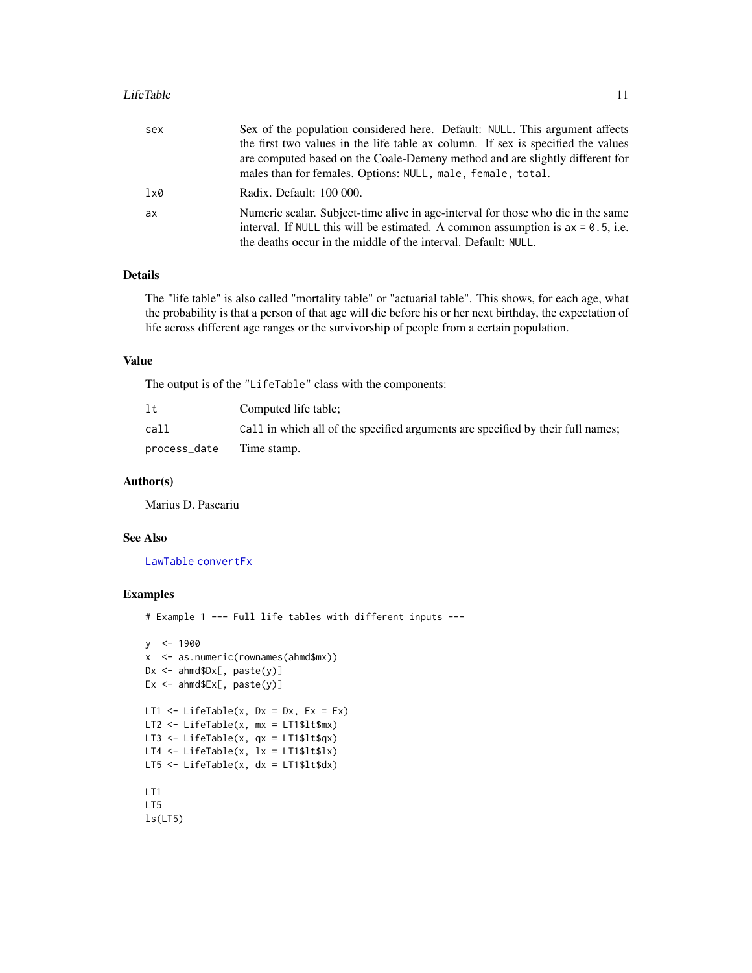#### <span id="page-10-0"></span>LifeTable 11

| sex | Sex of the population considered here. Default: NULL. This argument affects        |
|-----|------------------------------------------------------------------------------------|
|     | the first two values in the life table ax column. If sex is specified the values   |
|     | are computed based on the Coale-Demeny method and are slightly different for       |
|     | males than for females. Options: NULL, male, female, total.                        |
| lx0 | Radix. Default: 100 000.                                                           |
| ax  | Numeric scalar. Subject-time alive in age-interval for those who die in the same   |
|     | interval. If NULL this will be estimated. A common assumption is $ax = 0.5$ , i.e. |
|     | the deaths occur in the middle of the interval. Default: NULL.                     |

#### Details

The "life table" is also called "mortality table" or "actuarial table". This shows, for each age, what the probability is that a person of that age will die before his or her next birthday, the expectation of life across different age ranges or the survivorship of people from a certain population.

## Value

The output is of the "LifeTable" class with the components:

| 1t                       | Computed life table:                                                            |
|--------------------------|---------------------------------------------------------------------------------|
| call                     | Call in which all of the specified arguments are specified by their full names; |
| process_date Time stamp. |                                                                                 |

#### Author(s)

Marius D. Pascariu

# See Also

[LawTable](#page-7-1) [convertFx](#page-5-1)

```
# Example 1 --- Full life tables with different inputs ---
```

```
y <- 1900
x <- as.numeric(rownames(ahmd$mx))
Dx <- ahmd$Dx[, paste(y)]
Ex \leftarrow ahmd$Ex[, paste(y)]
LT1 \le LifeTable(x, Dx = Dx, Ex = Ex)
LT2 <- LifeTable(x, mx = LT1$lt$mx)
LT3 <- LifeTable(x, qx = LT1$lt$qx)
LT4 <- LifeTable(x, lx = LT1$lt$lx)
LT5 <- LifeTable(x, dx = LT1$lt$dx)
LT1
LT5
ls(LT5)
```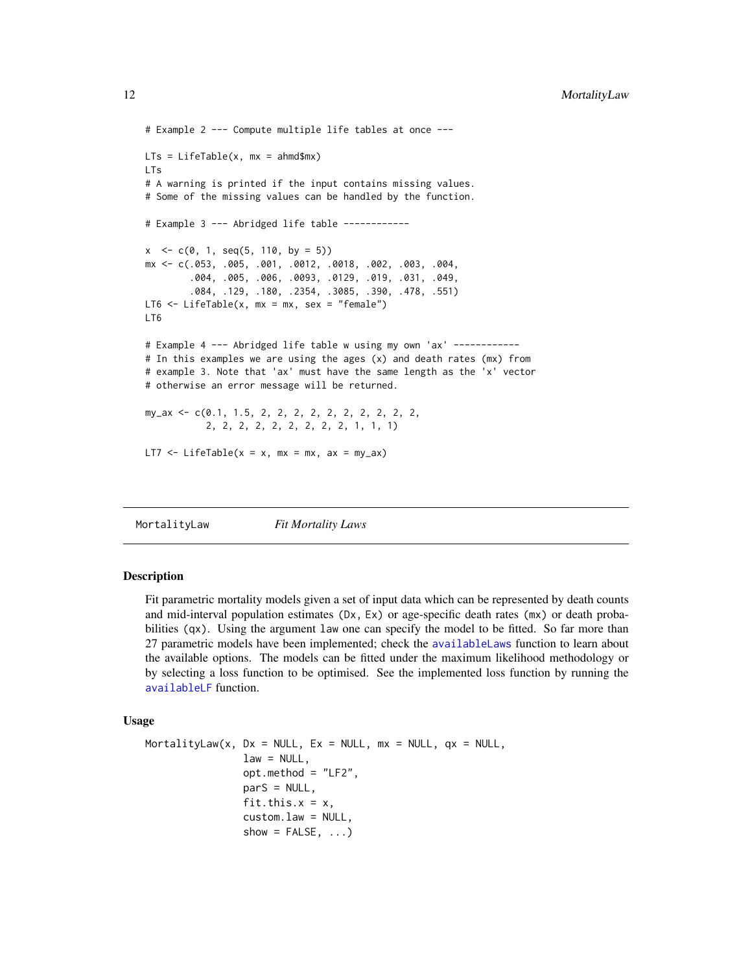```
# Example 2 --- Compute multiple life tables at once ---
LTs = LifeTable(x, mx = ahmd$mx)LTs
# A warning is printed if the input contains missing values.
# Some of the missing values can be handled by the function.
# Example 3 --- Abridged life table ------------
x < -c(0, 1, seq(5, 110, by = 5))mx <- c(.053, .005, .001, .0012, .0018, .002, .003, .004,
        .004, .005, .006, .0093, .0129, .019, .031, .049,
        .084, .129, .180, .2354, .3085, .390, .478, .551)
LT6 <- LifeTable(x, mx = mx, sex = "female")
LT6
# Example 4 --- Abridged life table w using my own 'ax' ------------
# In this examples we are using the ages (x) and death rates (mx) from
# example 3. Note that 'ax' must have the same length as the 'x' vector
# otherwise an error message will be returned.
my_ax \leftarrow c(0.1, 1.5, 2, 2, 2, 2, 2, 2, 2, 2, 2, 2, 2)2, 2, 2, 2, 2, 2, 2, 2, 2, 1, 1, 1)
LT7 \le LifeTable(x = x, mx = mx, ax = my_ax)
```
<span id="page-11-1"></span>MortalityLaw *Fit Mortality Laws*

#### **Description**

Fit parametric mortality models given a set of input data which can be represented by death counts and mid-interval population estimates (Dx, Ex) or age-specific death rates (mx) or death probabilities (qx). Using the argument law one can specify the model to be fitted. So far more than 27 parametric models have been implemented; check the [availableLaws](#page-3-1) function to learn about the available options. The models can be fitted under the maximum likelihood methodology or by selecting a loss function to be optimised. See the implemented loss function by running the [availableLF](#page-5-2) function.

#### Usage

```
MortalityLaw(x, Dx = NULL, Ex = NULL, mx = NULL, qx = NULL,
                law = NULL,
                opt.method = "LF2",
                parS = NULL,
                fit.this.x = x,
                custom.law = NULL,
                show = FALSE, \ldots)
```
<span id="page-11-0"></span>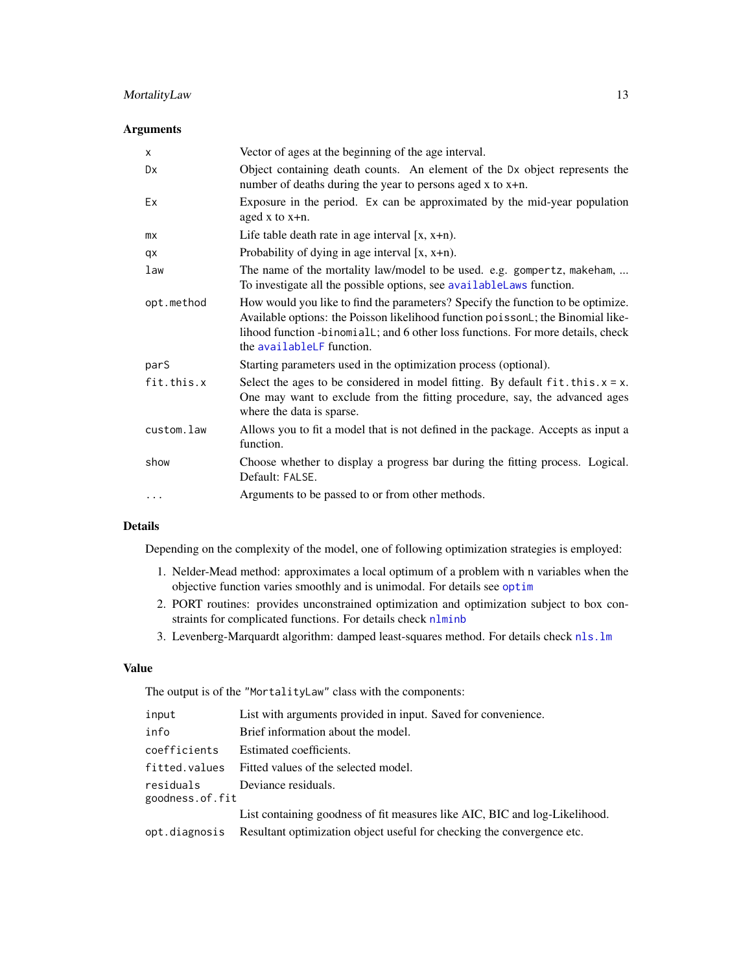# <span id="page-12-0"></span>MortalityLaw 13

# Arguments

| X          | Vector of ages at the beginning of the age interval.                                                                                                                                                                                                                               |
|------------|------------------------------------------------------------------------------------------------------------------------------------------------------------------------------------------------------------------------------------------------------------------------------------|
| Dx         | Object containing death counts. An element of the Dx object represents the<br>number of deaths during the year to persons aged $x$ to $x+n$ .                                                                                                                                      |
| Ex         | Exposure in the period. Ex can be approximated by the mid-year population<br>aged $x$ to $x+n$ .                                                                                                                                                                                   |
| mx         | Life table death rate in age interval $[x, x+n)$ .                                                                                                                                                                                                                                 |
| qx         | Probability of dying in age interval $[x, x+n)$ .                                                                                                                                                                                                                                  |
| law        | The name of the mortality law/model to be used. e.g. gompertz, makeham,<br>To investigate all the possible options, see availableLaws function.                                                                                                                                    |
| opt.method | How would you like to find the parameters? Specify the function to be optimize.<br>Available options: the Poisson likelihood function poissonL; the Binomial like-<br>lihood function -binomiall; and 6 other loss functions. For more details, check<br>the availableLF function. |
| parS       | Starting parameters used in the optimization process (optional).                                                                                                                                                                                                                   |
| fit.this.x | Select the ages to be considered in model fitting. By default $fit.$ this. $x = x$ .<br>One may want to exclude from the fitting procedure, say, the advanced ages<br>where the data is sparse.                                                                                    |
| custom.law | Allows you to fit a model that is not defined in the package. Accepts as input a<br>function.                                                                                                                                                                                      |
| show       | Choose whether to display a progress bar during the fitting process. Logical.<br>Default: FALSE.                                                                                                                                                                                   |
| $\cdots$   | Arguments to be passed to or from other methods.                                                                                                                                                                                                                                   |

# Details

Depending on the complexity of the model, one of following optimization strategies is employed:

- 1. Nelder-Mead method: approximates a local optimum of a problem with n variables when the objective function varies smoothly and is unimodal. For details see [optim](#page-0-0)
- 2. PORT routines: provides unconstrained optimization and optimization subject to box constraints for complicated functions. For details check [nlminb](#page-0-0)
- 3. Levenberg-Marquardt algorithm: damped least-squares method. For details check [nls.lm](#page-0-0)

# Value

The output is of the "MortalityLaw" class with the components:

| input                        | List with arguments provided in input. Saved for convenience.                         |
|------------------------------|---------------------------------------------------------------------------------------|
| info                         | Brief information about the model.                                                    |
| coefficients                 | Estimated coefficients.                                                               |
| fitted.values                | Fitted values of the selected model.                                                  |
| residuals<br>goodness.of.fit | Deviance residuals.                                                                   |
|                              | List containing goodness of fit measures like AIC, BIC and log-Likelihood.            |
|                              | opt. diagnosis Resultant optimization object useful for checking the convergence etc. |
|                              |                                                                                       |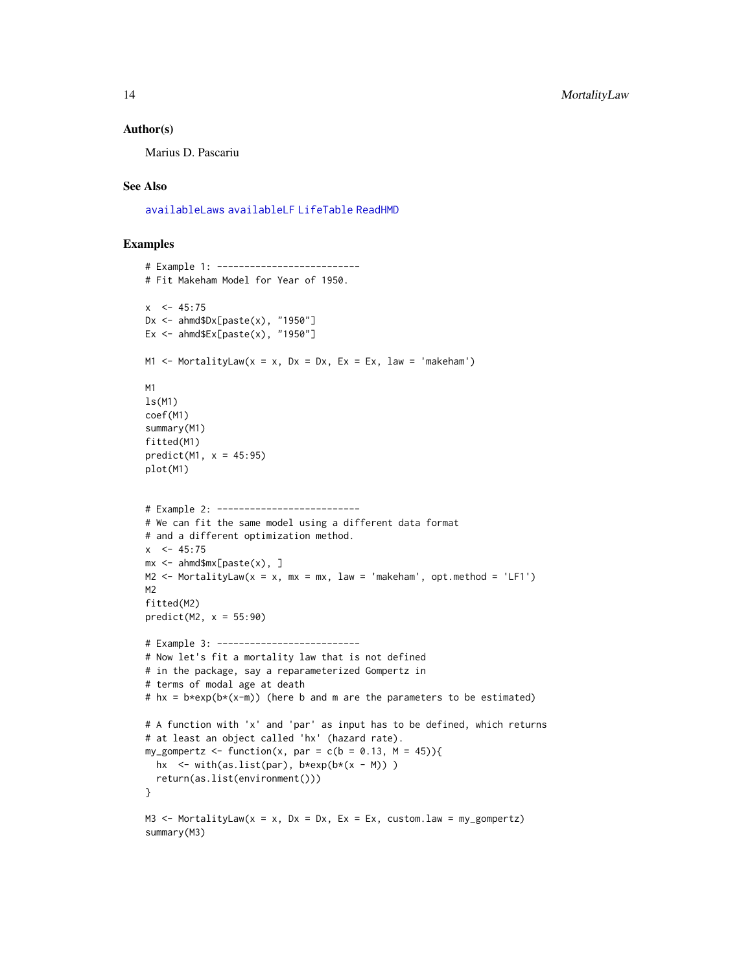#### <span id="page-13-0"></span>Author(s)

Marius D. Pascariu

# See Also

[availableLaws](#page-3-1) [availableLF](#page-5-2) [LifeTable](#page-9-1) [ReadHMD](#page-21-1)

```
# Example 1: --------------------------
# Fit Makeham Model for Year of 1950.
x \le -45:75Dx <- ahmd$Dx[paste(x), "1950"]
Ex <- ahmd$Ex[paste(x), "1950"]
M1 \le MortalityLaw(x = x, Dx = Dx, Ex = Ex, law = 'makeham')
M1
ls(M1)
coef(M1)
summary(M1)
fitted(M1)
predict(M1, x = 45:95)plot(M1)
# Example 2: --------------------------
# We can fit the same model using a different data format
# and a different optimization method.
x \le -45:75mx <- ahmd$mx[paste(x), ]
M2 \le MortalityLaw(x = x, mx = mx, law = 'makeham', opt.method = 'LF1')
M2
fitted(M2)
predict(M2, x = 55:90)# Example 3: --------------------------
# Now let's fit a mortality law that is not defined
# in the package, say a reparameterized Gompertz in
# terms of modal age at death
# hx = b*exp(b*(x-m)) (here b and m are the parameters to be estimated)
# A function with 'x' and 'par' as input has to be defined, which returns
# at least an object called 'hx' (hazard rate).
my_gompertz \le function(x, par = c(b = 0.13, M = 45)){
  hx \le with(as.list(par), b*exp(b*(x - M)))
  return(as.list(environment()))
}
M3 \le MortalityLaw(x = x, Dx = Dx, Ex = Ex, custom.law = my_gompertz)
summary(M3)
```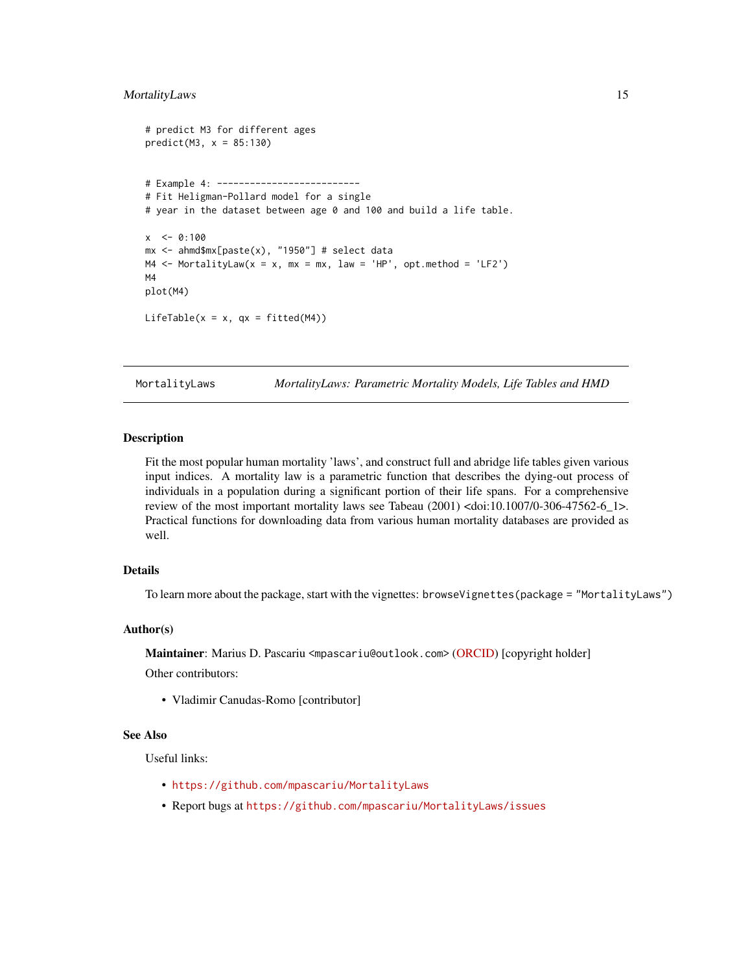#### <span id="page-14-0"></span>MortalityLaws 15

```
# predict M3 for different ages
predict(M3, x = 85:130)# Example 4: --------------------------
# Fit Heligman-Pollard model for a single
# year in the dataset between age 0 and 100 and build a life table.
x \le -0:100mx <- ahmd$mx[paste(x), "1950"] # select data
M4 \leq MortalityLaw(x = x, mx = mx, law = 'HP', opt.method = 'LF2')
M4
plot(M4)
LifeTable(x = x, qx = fitted(M4))
```
MortalityLaws *MortalityLaws: Parametric Mortality Models, Life Tables and HMD*

# **Description**

Fit the most popular human mortality 'laws', and construct full and abridge life tables given various input indices. A mortality law is a parametric function that describes the dying-out process of individuals in a population during a significant portion of their life spans. For a comprehensive review of the most important mortality laws see Tabeau (2001) <doi:10.1007/0-306-47562-6\_1>. Practical functions for downloading data from various human mortality databases are provided as well.

# Details

To learn more about the package, start with the vignettes: browseVignettes(package = "MortalityLaws")

#### Author(s)

Maintainer: Marius D. Pascariu <mpascariu@outlook.com> [\(ORCID\)](https://orcid.org/0000-0002-2568-6489) [copyright holder]

Other contributors:

• Vladimir Canudas-Romo [contributor]

#### See Also

Useful links:

- <https://github.com/mpascariu/MortalityLaws>
- Report bugs at <https://github.com/mpascariu/MortalityLaws/issues>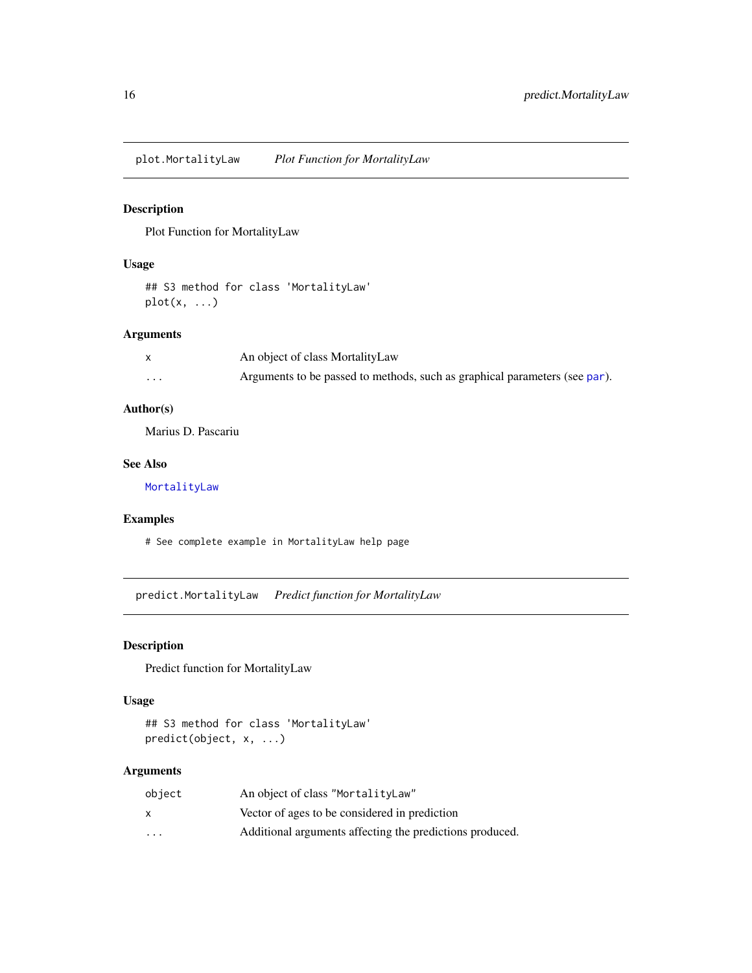<span id="page-15-0"></span>plot.MortalityLaw *Plot Function for MortalityLaw*

# Description

Plot Function for MortalityLaw

# Usage

## S3 method for class 'MortalityLaw'  $plot(x, \ldots)$ 

# Arguments

|         | An object of class Mortality Law                                           |
|---------|----------------------------------------------------------------------------|
| $\cdot$ | Arguments to be passed to methods, such as graphical parameters (see par). |

# Author(s)

Marius D. Pascariu

# See Also

[MortalityLaw](#page-11-1)

# Examples

# See complete example in MortalityLaw help page

predict.MortalityLaw *Predict function for MortalityLaw*

# Description

Predict function for MortalityLaw

#### Usage

```
## S3 method for class 'MortalityLaw'
predict(object, x, ...)
```
# Arguments

| object  | An object of class "MortalityLaw"                        |
|---------|----------------------------------------------------------|
| x       | Vector of ages to be considered in prediction            |
| $\cdot$ | Additional arguments affecting the predictions produced. |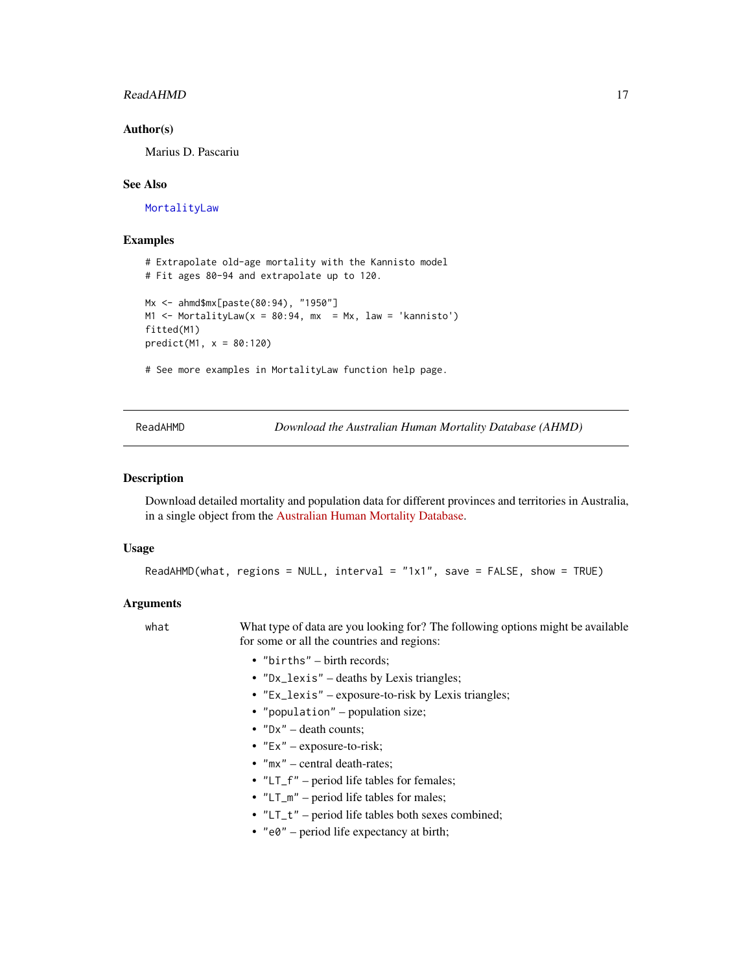#### <span id="page-16-0"></span>ReadAHMD 17

#### Author(s)

Marius D. Pascariu

#### See Also

[MortalityLaw](#page-11-1)

#### Examples

```
# Extrapolate old-age mortality with the Kannisto model
# Fit ages 80-94 and extrapolate up to 120.
Mx <- ahmd$mx[paste(80:94), "1950"]
M1 \le MortalityLaw(x = 80:94, mx = Mx, law = 'kannisto')
fitted(M1)
predict(M1, x = 80:120)# See more examples in MortalityLaw function help page.
```
ReadAHMD *Download the Australian Human Mortality Database (AHMD)*

#### Description

Download detailed mortality and population data for different provinces and territories in Australia, in a single object from the [Australian Human Mortality Database.](https://demography.cass.anu.edu.au/research/australian-human-mortality-database)

## Usage

```
ReadAHMD(what, regions = NULL, interval = "1x1", save = FALSE, show = TRUE)
```
#### Arguments

what What type of data are you looking for? The following options might be available for some or all the countries and regions:

- "births" birth records;
- "Dx\_lexis" deaths by Lexis triangles;
- "Ex\_lexis" exposure-to-risk by Lexis triangles;
- "population" population size;
- $"Dx"$  death counts;
- $"Ex" exposure-to-risk;$
- "mx" central death-rates;
- "LT\_f" period life tables for females;
- "LT\_m" period life tables for males;
- "LT\_t" period life tables both sexes combined;
- "e0" period life expectancy at birth;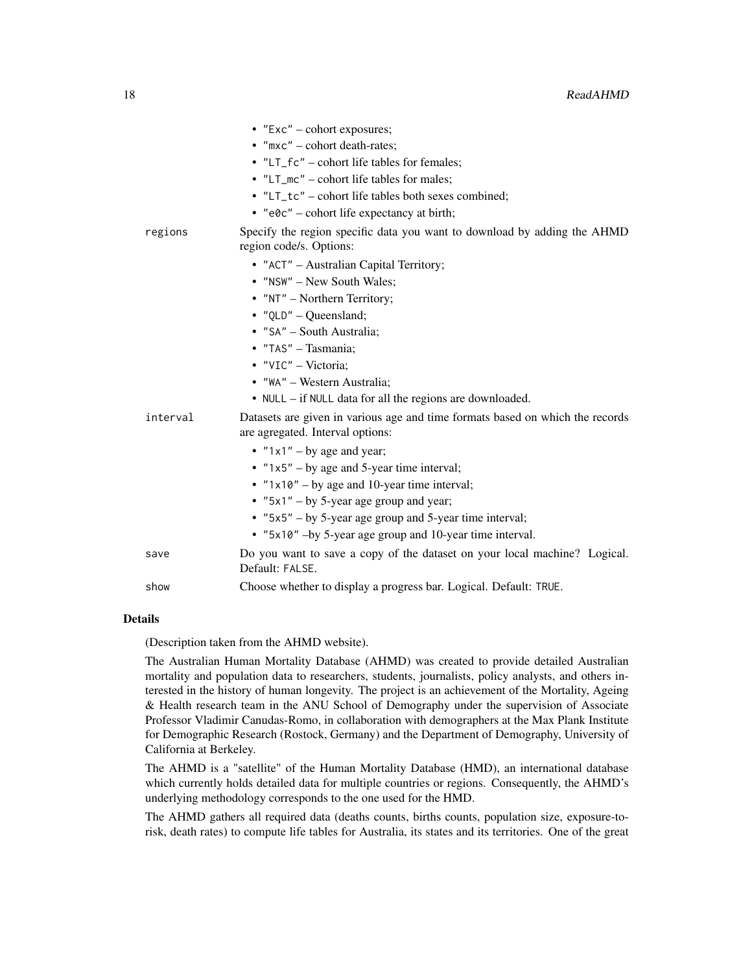|          | $\bullet$ "Exc" – cohort exposures;                                                                               |
|----------|-------------------------------------------------------------------------------------------------------------------|
|          | $\bullet$ "mxc" – cohort death-rates;                                                                             |
|          | • "LT_fc" – cohort life tables for females;                                                                       |
|          | • "LT_mc" – cohort life tables for males;                                                                         |
|          | • "LT_tc" – cohort life tables both sexes combined;                                                               |
|          | • $"e0c"$ – cohort life expectancy at birth;                                                                      |
| regions  | Specify the region specific data you want to download by adding the AHMD<br>region code/s. Options:               |
|          | • "ACT" - Australian Capital Territory;                                                                           |
|          | • "NSW" - New South Wales;                                                                                        |
|          | • "NT" – Northern Territory;                                                                                      |
|          | $\bullet$ "QLD" - Queensland;                                                                                     |
|          | • "SA" - South Australia;                                                                                         |
|          | • "TAS" - Tasmania;                                                                                               |
|          | • "VIC" - Victoria;                                                                                               |
|          | • "WA" - Western Australia;                                                                                       |
|          | $\bullet$ NULL – if NULL data for all the regions are downloaded.                                                 |
| interval | Datasets are given in various age and time formats based on which the records<br>are agregated. Interval options: |
|          | • $"1x1" - by age and year;$                                                                                      |
|          | • $"1x5" - by age and 5-year time interval;$                                                                      |
|          | • " $1 \times 10$ " – by age and 10-year time interval;                                                           |
|          | • " $5x1"$ – by 5-year age group and year;                                                                        |
|          | • "5x5" – by 5-year age group and 5-year time interval;                                                           |
|          | • "5x10" -by 5-year age group and 10-year time interval.                                                          |
| save     | Do you want to save a copy of the dataset on your local machine? Logical.<br>Default: FALSE.                      |
| show     | Choose whether to display a progress bar. Logical. Default: TRUE.                                                 |

#### Details

(Description taken from the AHMD website).

The Australian Human Mortality Database (AHMD) was created to provide detailed Australian mortality and population data to researchers, students, journalists, policy analysts, and others interested in the history of human longevity. The project is an achievement of the Mortality, Ageing & Health research team in the ANU School of Demography under the supervision of Associate Professor Vladimir Canudas-Romo, in collaboration with demographers at the Max Plank Institute for Demographic Research (Rostock, Germany) and the Department of Demography, University of California at Berkeley.

The AHMD is a "satellite" of the Human Mortality Database (HMD), an international database which currently holds detailed data for multiple countries or regions. Consequently, the AHMD's underlying methodology corresponds to the one used for the HMD.

The AHMD gathers all required data (deaths counts, births counts, population size, exposure-torisk, death rates) to compute life tables for Australia, its states and its territories. One of the great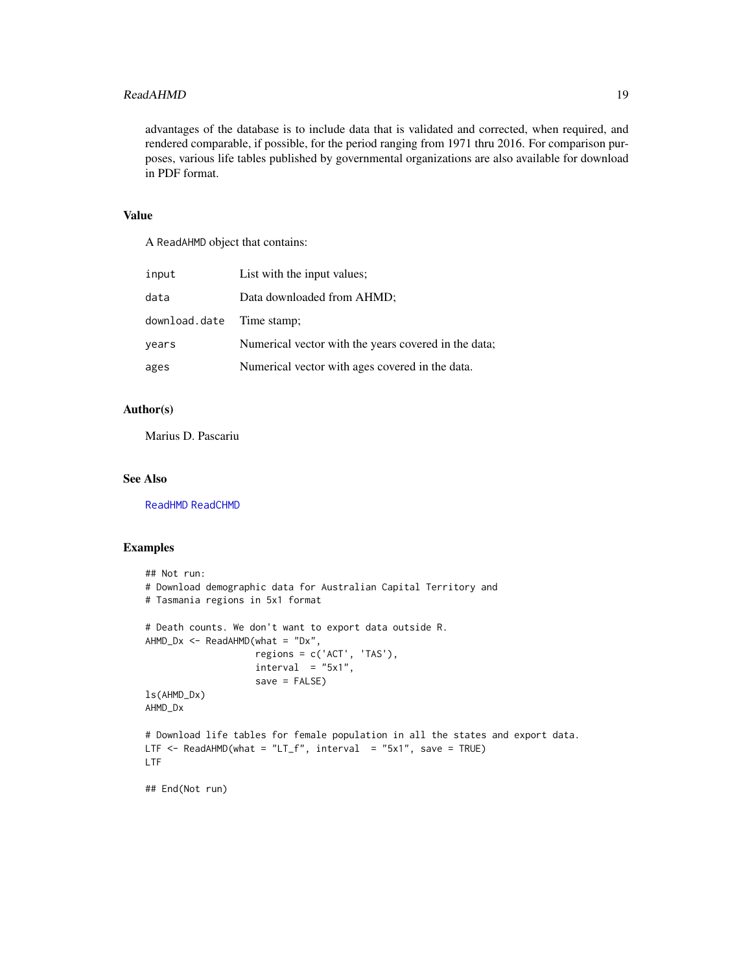#### <span id="page-18-0"></span>ReadAHMD 19

advantages of the database is to include data that is validated and corrected, when required, and rendered comparable, if possible, for the period ranging from 1971 thru 2016. For comparison purposes, various life tables published by governmental organizations are also available for download in PDF format.

# Value

A ReadAHMD object that contains:

| input                     | List with the input values;                          |
|---------------------------|------------------------------------------------------|
| data                      | Data downloaded from AHMD;                           |
| download.date Time stamp; |                                                      |
| years                     | Numerical vector with the years covered in the data; |
| ages                      | Numerical vector with ages covered in the data.      |

# Author(s)

Marius D. Pascariu

# See Also

[ReadHMD](#page-21-1) [ReadCHMD](#page-19-1)

```
## Not run:
# Download demographic data for Australian Capital Territory and
# Tasmania regions in 5x1 format
# Death counts. We don't want to export data outside R.
AHMD_Dx \leq - ReadAHMD(what = "Dx",
                    regions = c('ACT', 'TAS'),
                    interval = "5x1",save = FALSE)
ls(AHMD_Dx)
AHMD_Dx
# Download life tables for female population in all the states and export data.
LTF \leq ReadAHMD(what = "LT_f", interval = "5x1", save = TRUE)
LTF
## End(Not run)
```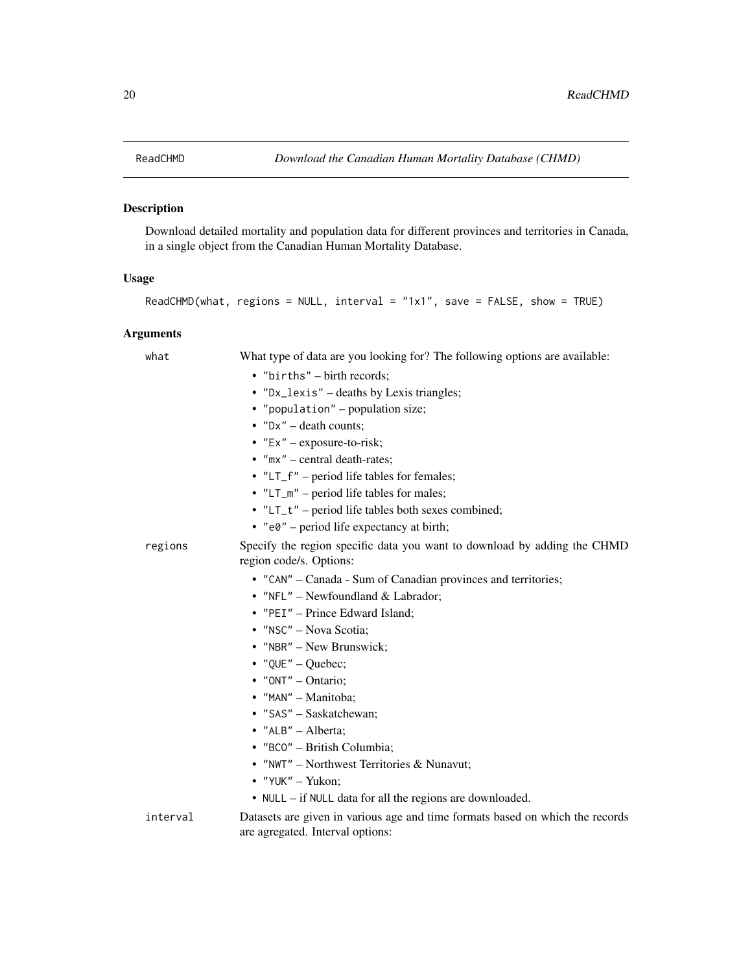<span id="page-19-1"></span><span id="page-19-0"></span>

# Description

Download detailed mortality and population data for different provinces and territories in Canada, in a single object from the Canadian Human Mortality Database.

# Usage

```
ReadCHMD(what, regions = NULL, interval = "1x1", save = FALSE, show = TRUE)
```
# Arguments

| what     | What type of data are you looking for? The following options are available:<br>• "births" - birth records;<br>• "Dx_lexis" - deaths by Lexis triangles;<br>• "population" – population size;<br>• $"Dx"$ – death counts;<br>• $"Ex" - exposure-to-risk;$<br>$\bullet$ "mx" – central death-rates;<br>$\cdot$ "LT_f" – period life tables for females;<br>• $"LT_m"$ – period life tables for males;<br>• "LT_t" – period life tables both sexes combined; |
|----------|-----------------------------------------------------------------------------------------------------------------------------------------------------------------------------------------------------------------------------------------------------------------------------------------------------------------------------------------------------------------------------------------------------------------------------------------------------------|
| regions  | • $"e0"$ – period life expectancy at birth;<br>Specify the region specific data you want to download by adding the CHMD<br>region code/s. Options:<br>• "CAN" – Canada - Sum of Canadian provinces and territories;<br>• "NFL" - Newfoundland & Labrador;<br>• "PEI" - Prince Edward Island;<br>· "NSC" - Nova Scotia;<br>• "NBR" - New Brunswick;<br>• "QUE" - Quebec;<br>$\bullet$ "ONT" - Ontario;<br>· "MAN" - Manitoba;<br>• "SAS" - Saskatchewan;   |
|          | • " $ALB" - Alberta$ ;<br>· "BCO" - British Columbia;<br>• "NWT" - Northwest Territories & Nunavut;<br>• "YUK" - Yukon;<br>• NULL – if NULL data for all the regions are downloaded.                                                                                                                                                                                                                                                                      |
| interval | Datasets are given in various age and time formats based on which the records<br>are agregated. Interval options:                                                                                                                                                                                                                                                                                                                                         |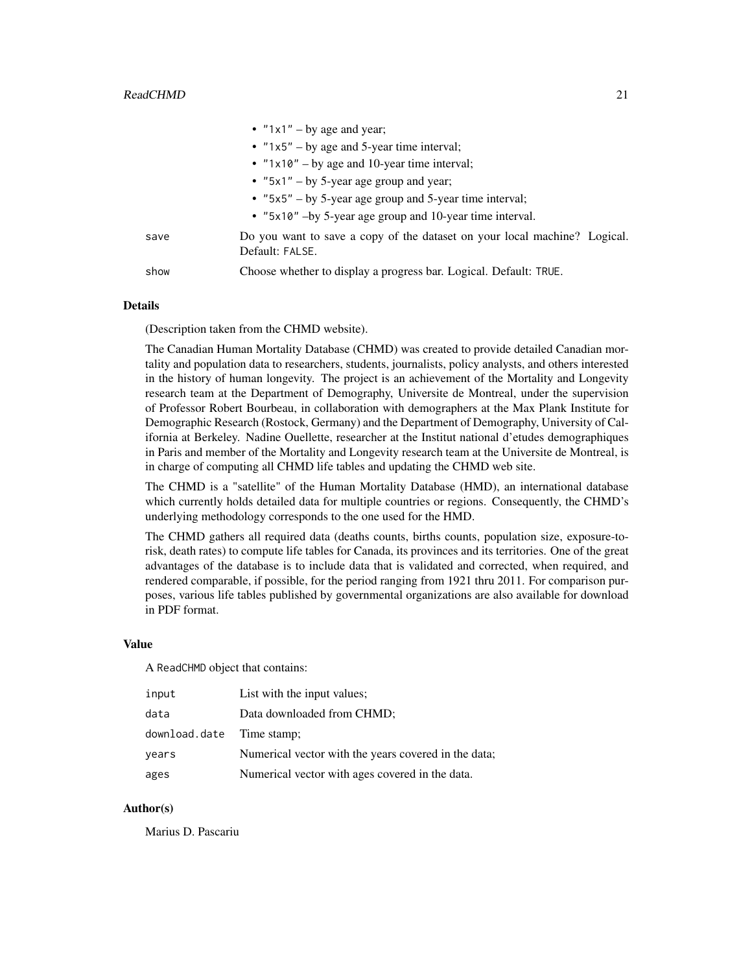|      | • $"1x1" - by age and year;$                                                                 |
|------|----------------------------------------------------------------------------------------------|
|      | • $"1x5" - by age and 5-year time interval;$                                                 |
|      | • " $1x10"$ – by age and 10-year time interval;                                              |
|      | • " $5x1"$ – by 5-year age group and year;                                                   |
|      | • $"5x5" - by 5-year age group and 5-year time interval;$                                    |
|      | • "5x10" -by 5-year age group and 10-year time interval.                                     |
| save | Do you want to save a copy of the dataset on your local machine? Logical.<br>Default: FALSE. |
| show | Choose whether to display a progress bar. Logical. Default: TRUE.                            |

# Details

(Description taken from the CHMD website).

The Canadian Human Mortality Database (CHMD) was created to provide detailed Canadian mortality and population data to researchers, students, journalists, policy analysts, and others interested in the history of human longevity. The project is an achievement of the Mortality and Longevity research team at the Department of Demography, Universite de Montreal, under the supervision of Professor Robert Bourbeau, in collaboration with demographers at the Max Plank Institute for Demographic Research (Rostock, Germany) and the Department of Demography, University of California at Berkeley. Nadine Ouellette, researcher at the Institut national d'etudes demographiques in Paris and member of the Mortality and Longevity research team at the Universite de Montreal, is in charge of computing all CHMD life tables and updating the CHMD web site.

The CHMD is a "satellite" of the Human Mortality Database (HMD), an international database which currently holds detailed data for multiple countries or regions. Consequently, the CHMD's underlying methodology corresponds to the one used for the HMD.

The CHMD gathers all required data (deaths counts, births counts, population size, exposure-torisk, death rates) to compute life tables for Canada, its provinces and its territories. One of the great advantages of the database is to include data that is validated and corrected, when required, and rendered comparable, if possible, for the period ranging from 1921 thru 2011. For comparison purposes, various life tables published by governmental organizations are also available for download in PDF format.

# Value

A ReadCHMD object that contains:

| input                     | List with the input values;                          |
|---------------------------|------------------------------------------------------|
| data                      | Data downloaded from CHMD;                           |
| download.date Time stamp; |                                                      |
| years                     | Numerical vector with the years covered in the data; |
| ages                      | Numerical vector with ages covered in the data.      |

#### Author(s)

Marius D. Pascariu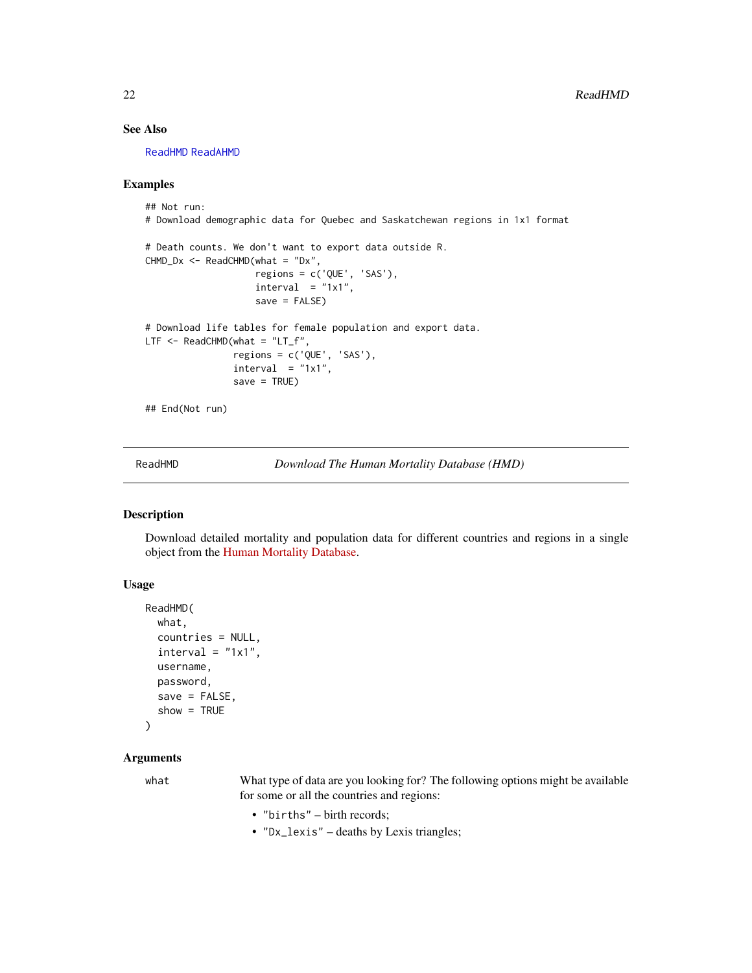# See Also

[ReadHMD](#page-21-1) [ReadAHMD](#page-16-1)

#### Examples

```
## Not run:
# Download demographic data for Quebec and Saskatchewan regions in 1x1 format
# Death counts. We don't want to export data outside R.
CHMD_Dx \leq - ReadCHMD(what = "Dx",
                    regions = c('QUE', 'SAS'),
                    interval = "1x1",save = FALSE)
# Download life tables for female population and export data.
LTF \leq ReadCHMD(what = "LT_f",
                regions = c('QUE', 'SAS'),
                interval = "1x1",save = TRUE)
## End(Not run)
```
<span id="page-21-1"></span>ReadHMD *Download The Human Mortality Database (HMD)*

# Description

Download detailed mortality and population data for different countries and regions in a single object from the [Human Mortality Database.](https://www.mortality.org/)

#### Usage

```
ReadHMD(
  what,
  countries = NULL,
  interval = "1x1",username,
  password,
  save = FALSE,show = TRUE
```
)

#### Arguments

what What type of data are you looking for? The following options might be available for some or all the countries and regions:

- "births" birth records;
- "Dx\_lexis" deaths by Lexis triangles;

<span id="page-21-0"></span>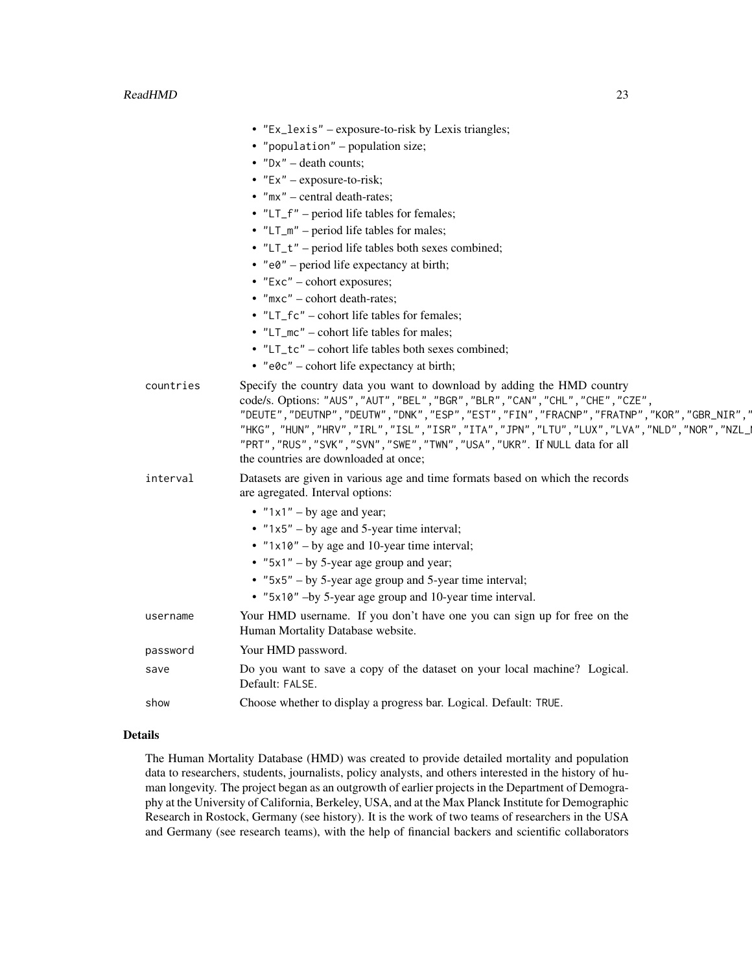|           | • "Ex_lexis" – exposure-to-risk by Lexis triangles;                                                                                                                                                                                                                                                                                                                                                                                                                                      |
|-----------|------------------------------------------------------------------------------------------------------------------------------------------------------------------------------------------------------------------------------------------------------------------------------------------------------------------------------------------------------------------------------------------------------------------------------------------------------------------------------------------|
|           | • "population" – population size;                                                                                                                                                                                                                                                                                                                                                                                                                                                        |
|           | • $"Dx"$ – death counts;                                                                                                                                                                                                                                                                                                                                                                                                                                                                 |
|           | • $"Ex" - exposure-to-risk;$                                                                                                                                                                                                                                                                                                                                                                                                                                                             |
|           | $\bullet$ "mx" – central death-rates;                                                                                                                                                                                                                                                                                                                                                                                                                                                    |
|           | • "LT_f" – period life tables for females;                                                                                                                                                                                                                                                                                                                                                                                                                                               |
|           | $\bullet$ "LT_m" – period life tables for males;                                                                                                                                                                                                                                                                                                                                                                                                                                         |
|           | • "LT_t" – period life tables both sexes combined;                                                                                                                                                                                                                                                                                                                                                                                                                                       |
|           | • $"e0"$ – period life expectancy at birth;                                                                                                                                                                                                                                                                                                                                                                                                                                              |
|           | • $"Exc"$ – cohort exposures;                                                                                                                                                                                                                                                                                                                                                                                                                                                            |
|           | $\bullet$ "mxc" – cohort death-rates;                                                                                                                                                                                                                                                                                                                                                                                                                                                    |
|           | • "LT_fc" – cohort life tables for females;                                                                                                                                                                                                                                                                                                                                                                                                                                              |
|           | • "LT_mc" – cohort life tables for males;                                                                                                                                                                                                                                                                                                                                                                                                                                                |
|           | • "LT_tc" – cohort life tables both sexes combined;                                                                                                                                                                                                                                                                                                                                                                                                                                      |
|           | • " $e^{\theta}c$ " – cohort life expectancy at birth;                                                                                                                                                                                                                                                                                                                                                                                                                                   |
| countries | Specify the country data you want to download by adding the HMD country<br>code/s. Options: "AUS", "AUT", "BEL", "BGR", "BLR", "CAN", "CHL", "CHE", "CZE",<br>"DEUTE", "DEUTNP", "DEUTW", "DNK", "ESP", "EST", "FIN", "FRACNP", "FRATNP", "KOR", "GBR_NIR",<br>"HKG", "HUN", "HRV", "IRL", "ISL", "ISR", "ITA", "JPN", "LTU", "LUX", "LVA", "NLD", "NOR", "NZL_<br>"PRT", "RUS", "SVK", "SVN", "SWE", "TWN", "USA", "UKR". If NULL data for all<br>the countries are downloaded at once; |
| interval  | Datasets are given in various age and time formats based on which the records<br>are agregated. Interval options:                                                                                                                                                                                                                                                                                                                                                                        |
|           | • $"1x1" - by age and year;$<br>• $"1x5" - by age and 5-year time interval;$                                                                                                                                                                                                                                                                                                                                                                                                             |
|           | • " $1x10"$ – by age and 10-year time interval;                                                                                                                                                                                                                                                                                                                                                                                                                                          |
|           | • " $5x1"$ – by 5-year age group and year;                                                                                                                                                                                                                                                                                                                                                                                                                                               |
|           | • $"5x5" - by 5-year age group and 5-year time interval;$                                                                                                                                                                                                                                                                                                                                                                                                                                |
|           | • "5x10" -by 5-year age group and 10-year time interval.                                                                                                                                                                                                                                                                                                                                                                                                                                 |
| username  | Your HMD username. If you don't have one you can sign up for free on the<br>Human Mortality Database website.                                                                                                                                                                                                                                                                                                                                                                            |
| password  | Your HMD password.                                                                                                                                                                                                                                                                                                                                                                                                                                                                       |
|           | Do you want to save a copy of the dataset on your local machine? Logical.<br>Default: FALSE.                                                                                                                                                                                                                                                                                                                                                                                             |
|           | Choose whether to display a progress bar. Logical. Default: TRUE.                                                                                                                                                                                                                                                                                                                                                                                                                        |
|           |                                                                                                                                                                                                                                                                                                                                                                                                                                                                                          |

# Details

The Human Mortality Database (HMD) was created to provide detailed mortality and population data to researchers, students, journalists, policy analysts, and others interested in the history of human longevity. The project began as an outgrowth of earlier projects in the Department of Demography at the University of California, Berkeley, USA, and at the Max Planck Institute for Demographic Research in Rostock, Germany (see history). It is the work of two teams of researchers in the USA and Germany (see research teams), with the help of financial backers and scientific collaborators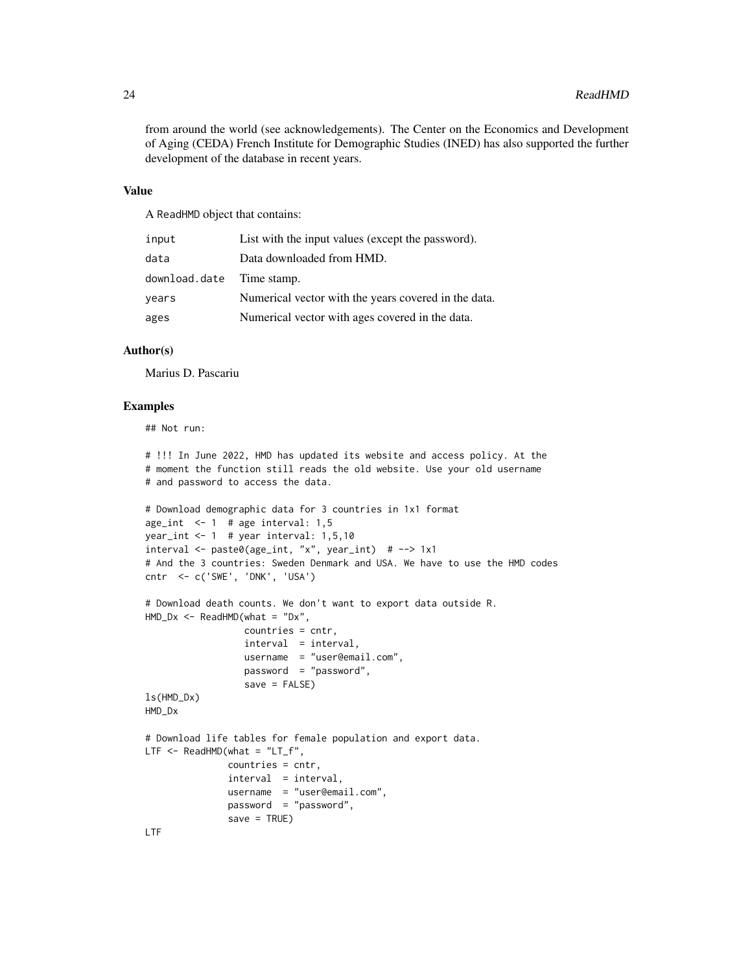from around the world (see acknowledgements). The Center on the Economics and Development of Aging (CEDA) French Institute for Demographic Studies (INED) has also supported the further development of the database in recent years.

#### Value

A ReadHMD object that contains:

| input                     | List with the input values (except the password).    |
|---------------------------|------------------------------------------------------|
| data                      | Data downloaded from HMD.                            |
| download.date Time stamp. |                                                      |
| years                     | Numerical vector with the years covered in the data. |
| ages                      | Numerical vector with ages covered in the data.      |

# Author(s)

Marius D. Pascariu

# Examples

## Not run:

```
# !!! In June 2022, HMD has updated its website and access policy. At the
# moment the function still reads the old website. Use your old username
# and password to access the data.
# Download demographic data for 3 countries in 1x1 format
age_int \leq -1 # age interval: 1,5
year_int <- 1 # year interval: 1,5,10
interval <- paste0(age_int, "x", year_int) # --> 1x1
# And the 3 countries: Sweden Denmark and USA. We have to use the HMD codes
cntr <- c('SWE', 'DNK', 'USA')
# Download death counts. We don't want to export data outside R.
HMD_Dx \leq - ReadHMD(what = "Dx",
                  countries = cntr,
                  interval = interval,
                  username = "user@email.com",
                  password = "password",
                  save = FALSE)
ls(HMD_Dx)
HMD_Dx
# Download life tables for female population and export data.
LTF \leq ReadHMD(what = "LT_f",
               countries = cntr,
               interval = interval,
               username = "user@email.com",
               password = "password",
               save = TRUE)
```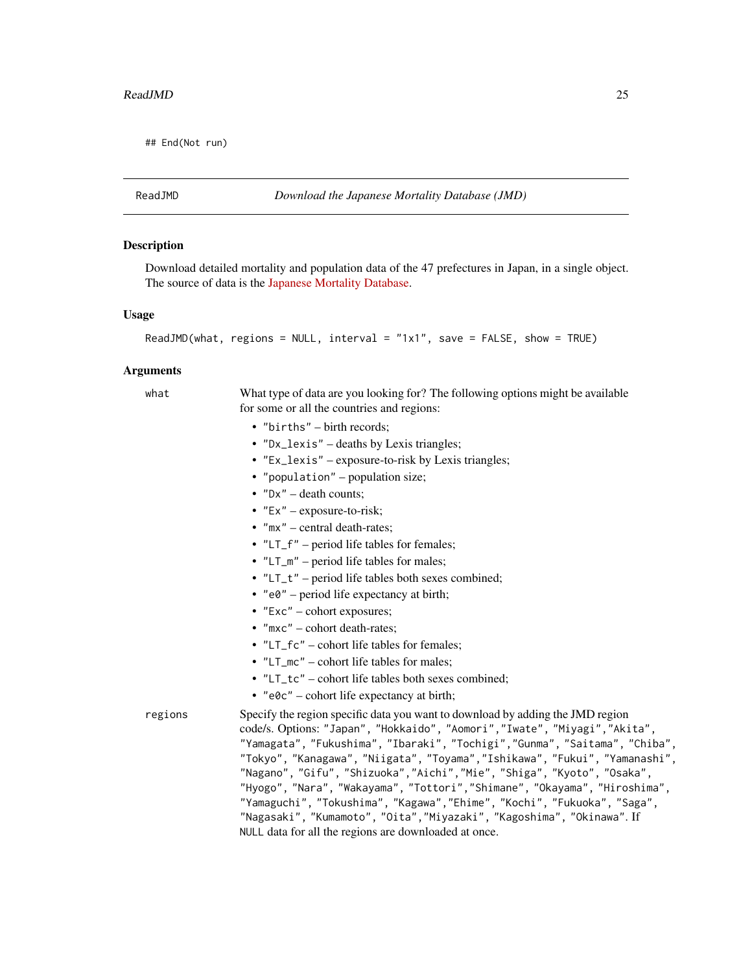<span id="page-24-0"></span>## End(Not run)

ReadJMD *Download the Japanese Mortality Database (JMD)*

#### **Description**

Download detailed mortality and population data of the 47 prefectures in Japan, in a single object. The source of data is the [Japanese Mortality Database.](https://www.ipss.go.jp/p-toukei/JMD/index-en.asp)

#### Usage

```
ReadJMD(what, regions = NULL, interval = "1x1", save = FALSE, show = TRUE)
```
#### Arguments

what What type of data are you looking for? The following options might be available for some or all the countries and regions:

- "births" birth records;
- "Dx\_lexis" deaths by Lexis triangles;
- "Ex\_lexis" exposure-to-risk by Lexis triangles;
- "population" population size;
- $"Dx"$  death counts;
- "Ex" exposure-to-risk;
- "mx" central death-rates;
- "LT\_f" period life tables for females;
- "LT\_m" period life tables for males;
- "LT\_t" period life tables both sexes combined;
- $"e0"$  period life expectancy at birth;
- "Exc" cohort exposures;
- "mxc" cohort death-rates;
- "LT\_fc" cohort life tables for females;
- "LT\_mc" cohort life tables for males;
- "LT\_tc" cohort life tables both sexes combined;
- "e0c" cohort life expectancy at birth;

regions Specify the region specific data you want to download by adding the JMD region code/s. Options: "Japan", "Hokkaido", "Aomori","Iwate", "Miyagi","Akita", "Yamagata", "Fukushima", "Ibaraki", "Tochigi","Gunma", "Saitama", "Chiba", "Tokyo", "Kanagawa", "Niigata", "Toyama","Ishikawa", "Fukui", "Yamanashi", "Nagano", "Gifu", "Shizuoka","Aichi","Mie", "Shiga", "Kyoto", "Osaka", "Hyogo", "Nara", "Wakayama", "Tottori","Shimane", "Okayama", "Hiroshima", "Yamaguchi", "Tokushima", "Kagawa","Ehime", "Kochi", "Fukuoka", "Saga", "Nagasaki", "Kumamoto", "Oita","Miyazaki", "Kagoshima", "Okinawa". If NULL data for all the regions are downloaded at once.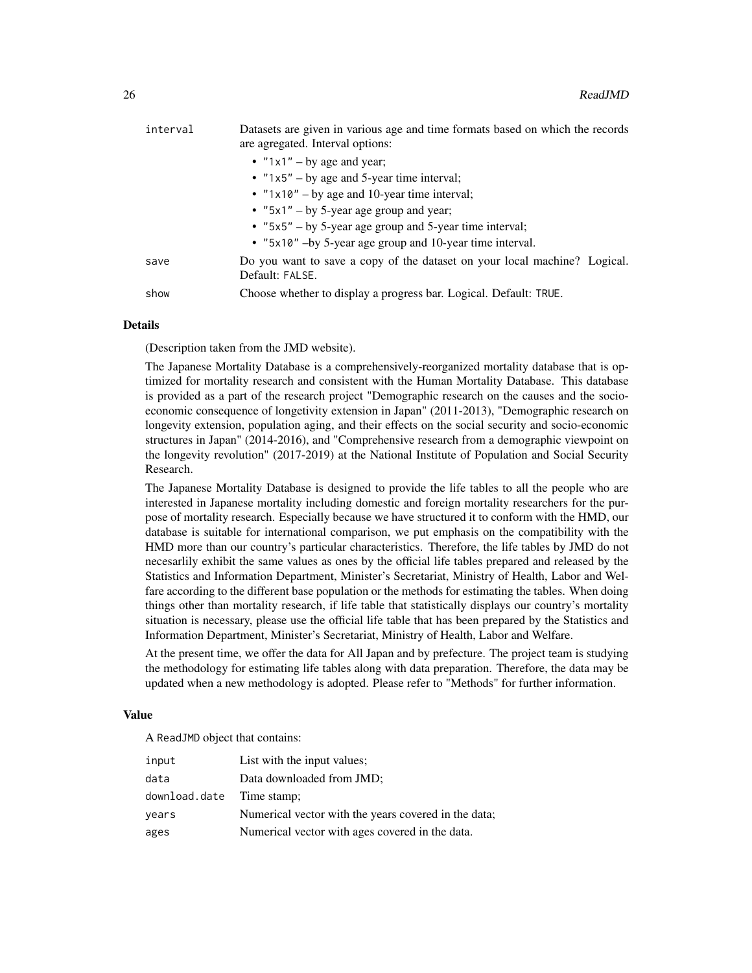| interval | Datasets are given in various age and time formats based on which the records<br>are agregated. Interval options: |
|----------|-------------------------------------------------------------------------------------------------------------------|
|          | • $"1x1" - by age and year;$                                                                                      |
|          | • $"1x5" - by age and 5-year time interval;$                                                                      |
|          | • " $1x10"$ – by age and 10-year time interval;                                                                   |
|          | • " $5x1$ " – by 5-year age group and year;                                                                       |
|          | • $"5x5" - by 5-year age group and 5-year time interval;$                                                         |
|          | • "5x10" -by 5-year age group and 10-year time interval.                                                          |
| save     | Do you want to save a copy of the dataset on your local machine? Logical.<br>Default: FALSE.                      |
| show     | Choose whether to display a progress bar. Logical. Default: TRUE.                                                 |

# Details

(Description taken from the JMD website).

The Japanese Mortality Database is a comprehensively-reorganized mortality database that is optimized for mortality research and consistent with the Human Mortality Database. This database is provided as a part of the research project "Demographic research on the causes and the socioeconomic consequence of longetivity extension in Japan" (2011-2013), "Demographic research on longevity extension, population aging, and their effects on the social security and socio-economic structures in Japan" (2014-2016), and "Comprehensive research from a demographic viewpoint on the longevity revolution" (2017-2019) at the National Institute of Population and Social Security Research.

The Japanese Mortality Database is designed to provide the life tables to all the people who are interested in Japanese mortality including domestic and foreign mortality researchers for the purpose of mortality research. Especially because we have structured it to conform with the HMD, our database is suitable for international comparison, we put emphasis on the compatibility with the HMD more than our country's particular characteristics. Therefore, the life tables by JMD do not necesarlily exhibit the same values as ones by the official life tables prepared and released by the Statistics and Information Department, Minister's Secretariat, Ministry of Health, Labor and Welfare according to the different base population or the methods for estimating the tables. When doing things other than mortality research, if life table that statistically displays our country's mortality situation is necessary, please use the official life table that has been prepared by the Statistics and Information Department, Minister's Secretariat, Ministry of Health, Labor and Welfare.

At the present time, we offer the data for All Japan and by prefecture. The project team is studying the methodology for estimating life tables along with data preparation. Therefore, the data may be updated when a new methodology is adopted. Please refer to "Methods" for further information.

#### Value

A ReadJMD object that contains:

| input                     | List with the input values;                          |
|---------------------------|------------------------------------------------------|
| data                      | Data downloaded from JMD;                            |
| download.date Time stamp; |                                                      |
| years                     | Numerical vector with the years covered in the data; |
| ages                      | Numerical vector with ages covered in the data.      |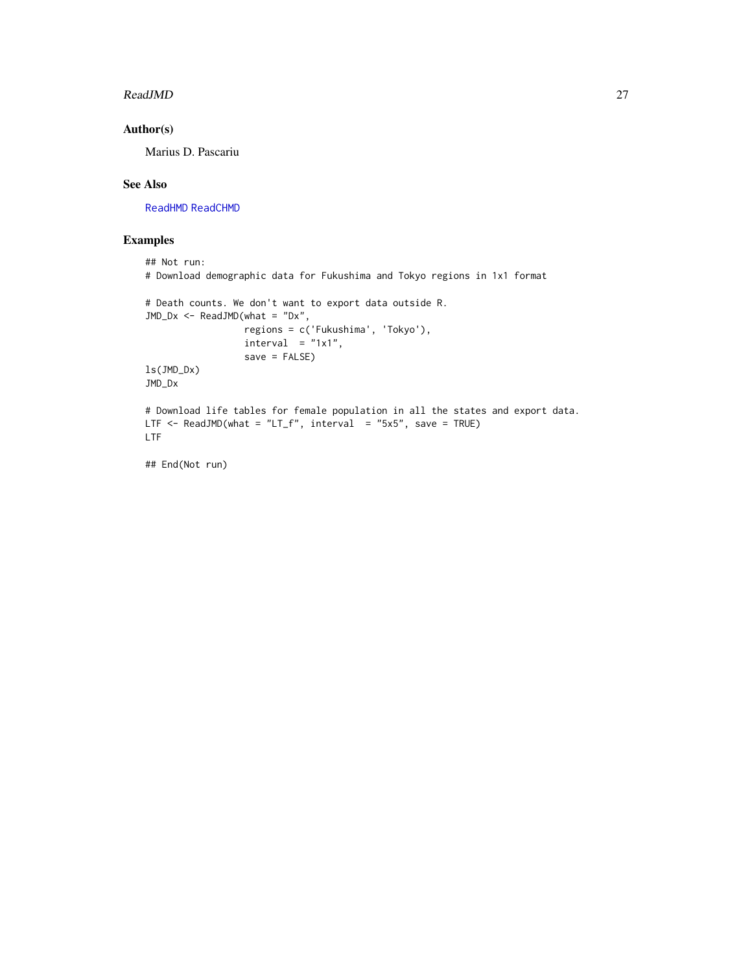#### <span id="page-26-0"></span>ReadJMD 27

# Author(s)

Marius D. Pascariu

# See Also

[ReadHMD](#page-21-1) [ReadCHMD](#page-19-1)

```
## Not run:
# Download demographic data for Fukushima and Tokyo regions in 1x1 format
# Death counts. We don't want to export data outside R.
JMD_Dx <- ReadJMD(what = "Dx",
                  regions = c('Fukushima', 'Tokyo'),
                  interval = "1x1",save = FALSE)
ls(JMD_Dx)
JMD_Dx
# Download life tables for female population in all the states and export data.
LTF <- ReadJMD(what = "LT_f", interval = "5x5", save = TRUE)
LTF
## End(Not run)
```